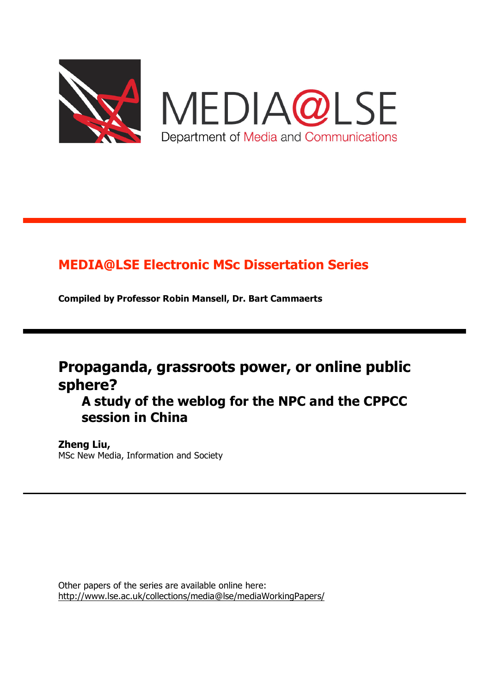

MEDIA@LSE Department of Media and Communications

# **MEDIA@LSE Electronic MSc Dissertation Series**

**Compiled by Professor Robin Mansell, Dr. Bart Cammaerts**

# **Propaganda, grassroots power, or online public sphere?**

**A study of the weblog for the NPC and the CPPCC session in China**

# **Zheng Liu,**

MSc New Media, Information and Society

Other papers of the series are available online here: http://www.lse.ac.uk/collections/media@lse/mediaWorkingPapers/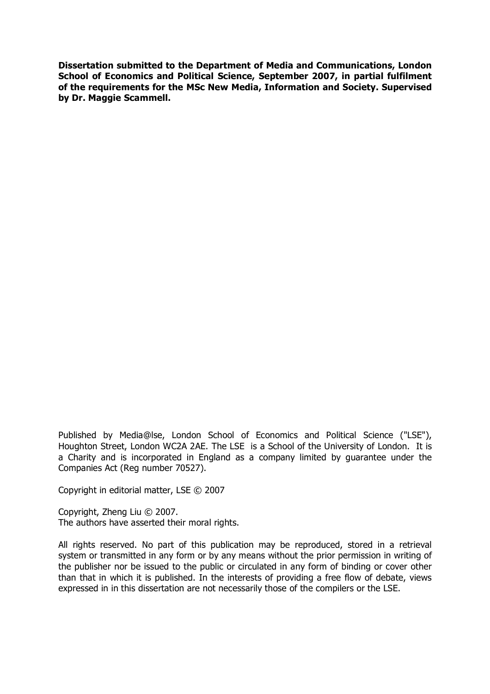**Dissertation submitted to the Department of Media and Communications, London School of Economics and Political Science, September 2007, in partial fulfilment of the requirements for the MSc New Media, Information and Society. Supervised by Dr. Maggie Scammell.**

Published by Media@lse, London School of Economics and Political Science ("LSE"), Houghton Street, London WC2A 2AE. The LSE is a School of the University of London. It is a Charity and is incorporated in England as a company limited by guarantee under the Companies Act (Reg number 70527).

Copyright in editorial matter, LSE © 2007

Copyright, Zheng Liu © 2007. The authors have asserted their moral rights.

All rights reserved. No part of this publication may be reproduced, stored in a retrieval system or transmitted in any form or by any means without the prior permission in writing of the publisher nor be issued to the public or circulated in any form of binding or cover other than that in which it is published. In the interests of providing a free flow of debate, views expressed in in this dissertation are not necessarily those of the compilers or the LSE.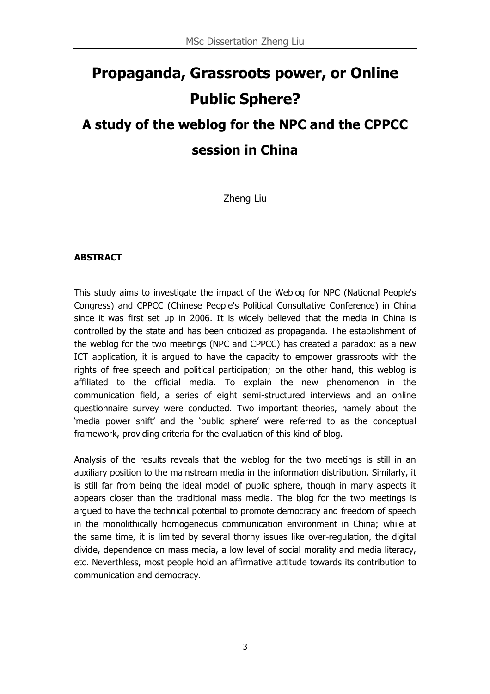# **Propaganda, Grassroots power, or Online Public Sphere? A study of the weblog for the NPC and the CPPCC**

# **session in China**

Zheng Liu

# **ABSTRACT**

This study aims to investigate the impact of the Weblog for NPC (National People's Congress) and CPPCC (Chinese People's Political Consultative Conference) in China since it was first set up in 2006. It is widely believed that the media in China is controlled by the state and has been criticized as propaganda. The establishment of the weblog for the two meetings (NPC and CPPCC) has created a paradox: as a new ICT application, it is argued to have the capacity to empower grassroots with the rights of free speech and political participation; on the other hand, this weblog is affiliated to the official media. To explain the new phenomenon in the communication field, a series of eight semi-structured interviews and an online questionnaire survey were conducted. Two important theories, namely about the 'media power shift' and the 'public sphere' were referred to as the conceptual framework, providing criteria for the evaluation of this kind of blog.

Analysis of the results reveals that the weblog for the two meetings is still in an auxiliary position to the mainstream media in the information distribution. Similarly, it is still far from being the ideal model of public sphere, though in many aspects it appears closer than the traditional mass media. The blog for the two meetings is argued to have the technical potential to promote democracy and freedom of speech in the monolithically homogeneous communication environment in China; while at the same time, it is limited by several thorny issues like over-regulation, the digital divide, dependence on mass media, a low level of social morality and media literacy, etc. Neverthless, most people hold an affirmative attitude towards its contribution to communication and democracy.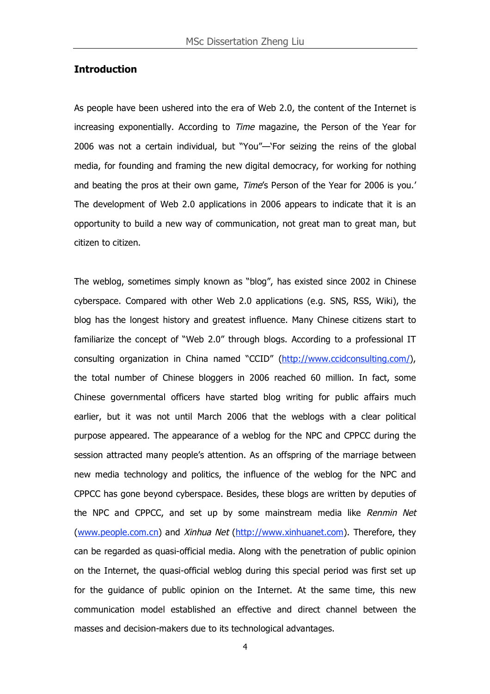#### **Introduction**

As people have been ushered into the era of Web 2.0, the content of the Internet is increasing exponentially. According to Time magazine, the Person of the Year for 2006 was not a certain individual, but "You"—'For seizing the reins of the global media, for founding and framing the new digital democracy, for working for nothing and beating the pros at their own game, Time's Person of the Year for 2006 is you.' The development of Web 2.0 applications in 2006 appears to indicate that it is an opportunity to build a new way of communication, not great man to great man, but citizen to citizen.

The weblog, sometimes simply known as "blog", has existed since 2002 in Chinese cyberspace. Compared with other Web 2.0 applications (e.g. SNS, RSS, Wiki), the blog has the longest history and greatest influence. Many Chinese citizens start to familiarize the concept of "Web 2.0" through blogs. According to a professional IT consulting organization in China named "CCID" (http://www.ccidconsulting.com/), the total number of Chinese bloggers in 2006 reached 60 million. In fact, some Chinese governmental officers have started blog writing for public affairs much earlier, but it was not until March 2006 that the weblogs with a clear political purpose appeared. The appearance of a weblog for the NPC and CPPCC during the session attracted many people's attention. As an offspring of the marriage between new media technology and politics, the influence of the weblog for the NPC and CPPCC has gone beyond cyberspace. Besides, these blogs are written by deputies of the NPC and CPPCC, and set up by some mainstream media like Renmin Net (www.people.com.cn) and Xinhua Net (http://www.xinhuanet.com). Therefore, they can be regarded as quasi-official media. Along with the penetration of public opinion on the Internet, the quasi-official weblog during this special period was first set up for the guidance of public opinion on the Internet. At the same time, this new communication model established an effective and direct channel between the masses and decision-makers due to its technological advantages.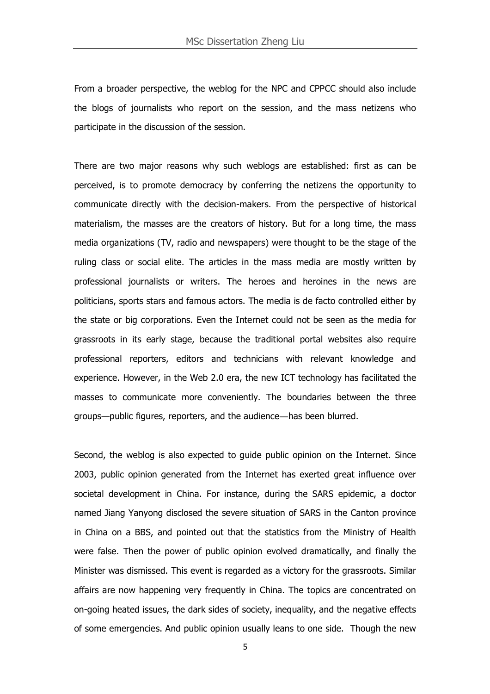From a broader perspective, the weblog for the NPC and CPPCC should also include the blogs of journalists who report on the session, and the mass netizens who participate in the discussion of the session.

There are two major reasons why such weblogs are established: first as can be perceived, is to promote democracy by conferring the netizens the opportunity to communicate directly with the decision-makers. From the perspective of historical materialism, the masses are the creators of history. But for a long time, the mass media organizations (TV, radio and newspapers) were thought to be the stage of the ruling class or social elite. The articles in the mass media are mostly written by professional journalists or writers. The heroes and heroines in the news are politicians, sports stars and famous actors. The media is de facto controlled either by the state or big corporations. Even the Internet could not be seen as the media for grassroots in its early stage, because the traditional portal websites also require professional reporters, editors and technicians with relevant knowledge and experience. However, in the Web 2.0 era, the new ICT technology has facilitated the masses to communicate more conveniently. The boundaries between the three groups—public figures, reporters, and the audience―has been blurred.

Second, the weblog is also expected to guide public opinion on the Internet. Since 2003, public opinion generated from the Internet has exerted great influence over societal development in China. For instance, during the SARS epidemic, a doctor named Jiang Yanyong disclosed the severe situation of SARS in the Canton province in China on a BBS, and pointed out that the statistics from the Ministry of Health were false. Then the power of public opinion evolved dramatically, and finally the Minister was dismissed. This event is regarded as a victory for the grassroots. Similar affairs are now happening very frequently in China. The topics are concentrated on on-going heated issues, the dark sides of society, inequality, and the negative effects of some emergencies. And public opinion usually leans to one side. Though the new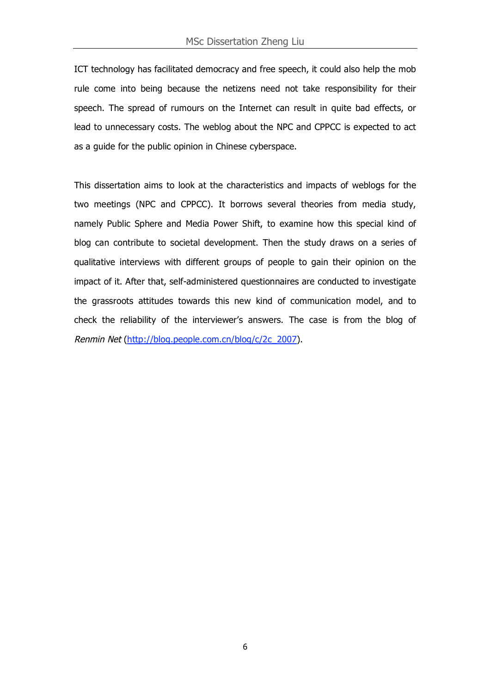ICT technology has facilitated democracy and free speech, it could also help the mob rule come into being because the netizens need not take responsibility for their speech. The spread of rumours on the Internet can result in quite bad effects, or lead to unnecessary costs. The weblog about the NPC and CPPCC is expected to act as a guide for the public opinion in Chinese cyberspace.

This dissertation aims to look at the characteristics and impacts of weblogs for the two meetings (NPC and CPPCC). It borrows several theories from media study, namely Public Sphere and Media Power Shift, to examine how this special kind of blog can contribute to societal development. Then the study draws on a series of qualitative interviews with different groups of people to gain their opinion on the impact of it. After that, self-administered questionnaires are conducted to investigate the grassroots attitudes towards this new kind of communication model, and to check the reliability of the interviewer's answers. The case is from the blog of Renmin Net (http://blog.people.com.cn/blog/c/2c\_2007).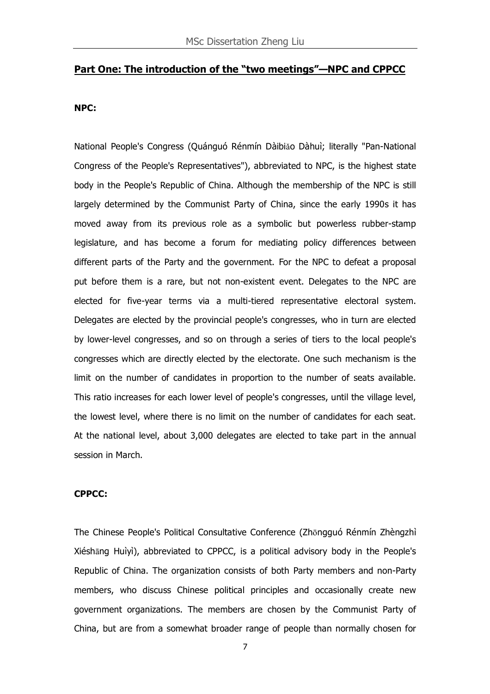#### **Part One: The introduction of the "two meetings"—NPC and CPPCC**

#### **NPC:**

National People's Congress (Quánguó Rénmín Dàibiǎo Dàhuì; literally "Pan-National Congress of the People's Representatives"), abbreviated to NPC, is the highest state body in the People's Republic of China. Although the membership of the NPC is still largely determined by the Communist Party of China, since the early 1990s it has moved away from its previous role as a symbolic but powerless rubber-stamp legislature, and has become a forum for mediating policy differences between different parts of the Party and the government. For the NPC to defeat a proposal put before them is a rare, but not non-existent event. Delegates to the NPC are elected for five-year terms via a multi-tiered representative electoral system. Delegates are elected by the provincial people's congresses, who in turn are elected by lower-level congresses, and so on through a series of tiers to the local people's congresses which are directly elected by the electorate. One such mechanism is the limit on the number of candidates in proportion to the number of seats available. This ratio increases for each lower level of people's congresses, until the village level, the lowest level, where there is no limit on the number of candidates for each seat. At the national level, about 3,000 delegates are elected to take part in the annual session in March.

#### **CPPCC:**

The Chinese People's Political Consultative Conference (Zhōngguó Rénmín Zhèngzhì Xiéshāng Huìyì), abbreviated to CPPCC, is a political advisory body in the People's Republic of China. The organization consists of both Party members and non-Party members, who discuss Chinese political principles and occasionally create new government organizations. The members are chosen by the Communist Party of China, but are from a somewhat broader range of people than normally chosen for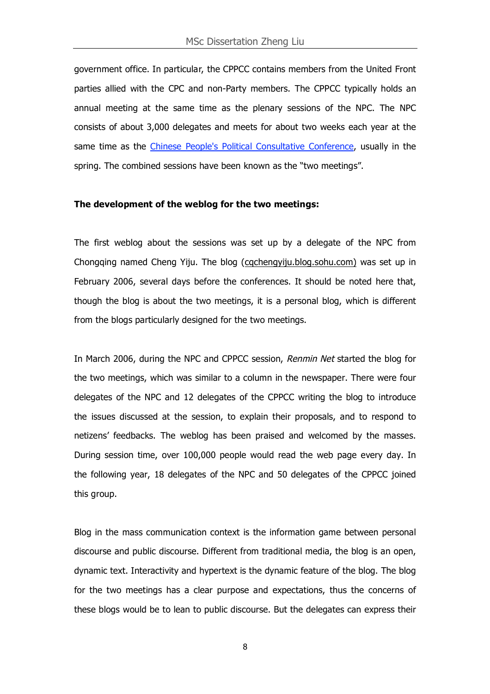government office. In particular, the CPPCC contains members from the United Front parties allied with the CPC and non-Party members. The CPPCC typically holds an annual meeting at the same time as the plenary sessions of the NPC. The NPC consists of about 3,000 delegates and meets for about two weeks each year at the same time as the Chinese People's Political Consultative Conference, usually in the spring. The combined sessions have been known as the "two meetings".

#### **The development of the weblog for the two meetings:**

The first weblog about the sessions was set up by a delegate of the NPC from Chongqing named Cheng Yiju. The blog (cqchengyiju.blog.sohu.com) was set up in February 2006, several days before the conferences. It should be noted here that, though the blog is about the two meetings, it is a personal blog, which is different from the blogs particularly designed for the two meetings.

In March 2006, during the NPC and CPPCC session, Renmin Net started the blog for the two meetings, which was similar to a column in the newspaper. There were four delegates of the NPC and 12 delegates of the CPPCC writing the blog to introduce the issues discussed at the session, to explain their proposals, and to respond to netizens' feedbacks. The weblog has been praised and welcomed by the masses. During session time, over 100,000 people would read the web page every day. In the following year, 18 delegates of the NPC and 50 delegates of the CPPCC joined this group.

Blog in the mass communication context is the information game between personal discourse and public discourse. Different from traditional media, the blog is an open, dynamic text. Interactivity and hypertext is the dynamic feature of the blog. The blog for the two meetings has a clear purpose and expectations, thus the concerns of these blogs would be to lean to public discourse. But the delegates can express their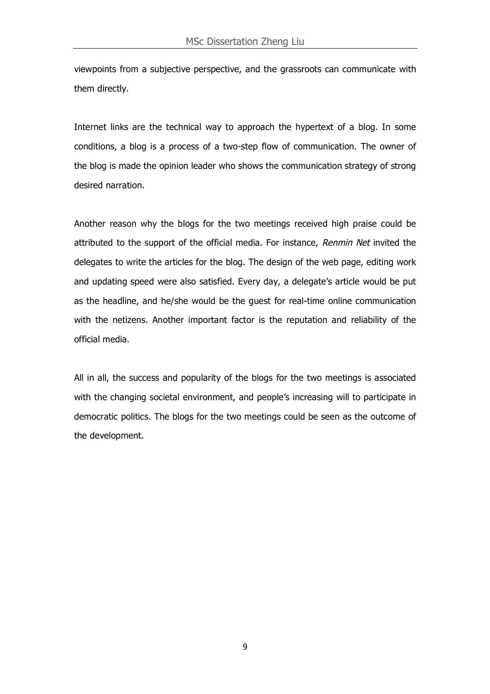viewpoints from a subjective perspective, and the grassroots can communicate with them directly.

Internet links are the technical way to approach the hypertext of a blog. In some conditions, a blog is a process of a two-step flow of communication. The owner of the blog is made the opinion leader who shows the communication strategy of strong desired narration.

Another reason why the blogs for the two meetings received high praise could be attributed to the support of the official media. For instance, Renmin Net invited the delegates to write the articles for the blog. The design of the web page, editing work and updating speed were also satisfied. Every day, a delegate's article would be put as the headline, and he/she would be the guest for real-time online communication with the netizens. Another important factor is the reputation and reliability of the official media.

All in all, the success and popularity of the blogs for the two meetings is associated with the changing societal environment, and people's increasing will to participate in democratic politics. The blogs for the two meetings could be seen as the outcome of the development.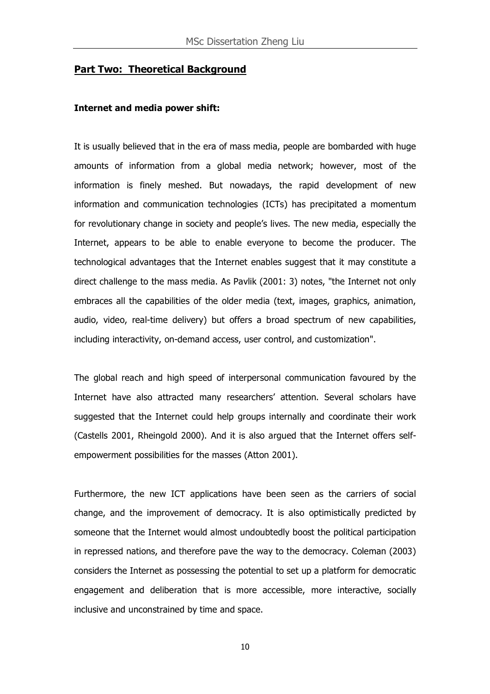#### **Part Two: Theoretical Background**

#### **Internet and media power shift:**

It is usually believed that in the era of mass media, people are bombarded with huge amounts of information from a global media network; however, most of the information is finely meshed. But nowadays, the rapid development of new information and communication technologies (ICTs) has precipitated a momentum for revolutionary change in society and people's lives. The new media, especially the Internet, appears to be able to enable everyone to become the producer. The technological advantages that the Internet enables suggest that it may constitute a direct challenge to the mass media. As Pavlik (2001: 3) notes, "the Internet not only embraces all the capabilities of the older media (text, images, graphics, animation, audio, video, real-time delivery) but offers a broad spectrum of new capabilities, including interactivity, on-demand access, user control, and customization".

The global reach and high speed of interpersonal communication favoured by the Internet have also attracted many researchers' attention. Several scholars have suggested that the Internet could help groups internally and coordinate their work (Castells 2001, Rheingold 2000). And it is also argued that the Internet offers selfempowerment possibilities for the masses (Atton 2001).

Furthermore, the new ICT applications have been seen as the carriers of social change, and the improvement of democracy. It is also optimistically predicted by someone that the Internet would almost undoubtedly boost the political participation in repressed nations, and therefore pave the way to the democracy. Coleman (2003) considers the Internet as possessing the potential to set up a platform for democratic engagement and deliberation that is more accessible, more interactive, socially inclusive and unconstrained by time and space.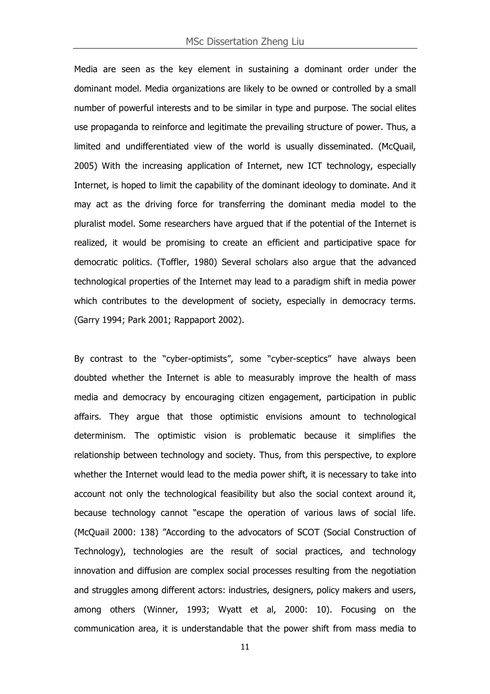Media are seen as the key element in sustaining a dominant order under the dominant model. Media organizations are likely to be owned or controlled by a small number of powerful interests and to be similar in type and purpose. The social elites use propaganda to reinforce and legitimate the prevailing structure of power. Thus, a limited and undifferentiated view of the world is usually disseminated. (McQuail, 2005) With the increasing application of Internet, new ICT technology, especially Internet, is hoped to limit the capability of the dominant ideology to dominate. And it may act as the driving force for transferring the dominant media model to the pluralist model. Some researchers have argued that if the potential of the Internet is realized, it would be promising to create an efficient and participative space for democratic politics. (Toffler, 1980) Several scholars also argue that the advanced technological properties of the Internet may lead to a paradigm shift in media power which contributes to the development of society, especially in democracy terms. (Garry 1994; Park 2001; Rappaport 2002).

By contrast to the "cyber-optimists", some "cyber-sceptics" have always been doubted whether the Internet is able to measurably improve the health of mass media and democracy by encouraging citizen engagement, participation in public affairs. They argue that those optimistic envisions amount to technological determinism. The optimistic vision is problematic because it simplifies the relationship between technology and society. Thus, from this perspective, to explore whether the Internet would lead to the media power shift, it is necessary to take into account not only the technological feasibility but also the social context around it, because technology cannot "escape the operation of various laws of social life. (McQuail 2000: 138) "According to the advocators of SCOT (Social Construction of Technology), technologies are the result of social practices, and technology innovation and diffusion are complex social processes resulting from the negotiation and struggles among different actors: industries, designers, policy makers and users, among others (Winner, 1993; Wyatt et al, 2000: 10). Focusing on the communication area, it is understandable that the power shift from mass media to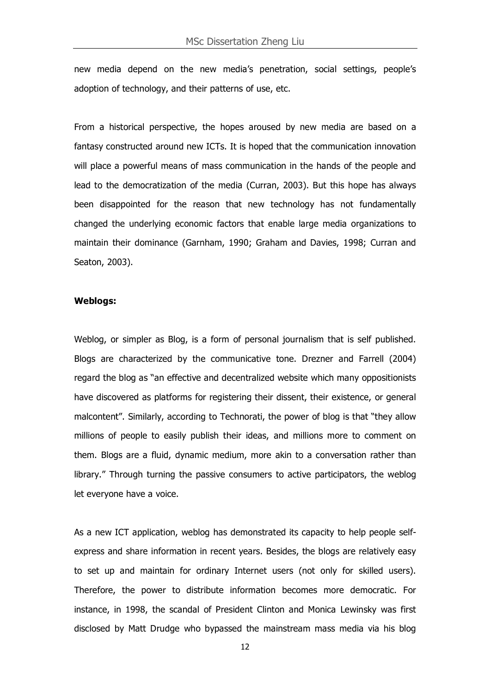new media depend on the new media's penetration, social settings, people's adoption of technology, and their patterns of use, etc.

From a historical perspective, the hopes aroused by new media are based on a fantasy constructed around new ICTs. It is hoped that the communication innovation will place a powerful means of mass communication in the hands of the people and lead to the democratization of the media (Curran, 2003). But this hope has always been disappointed for the reason that new technology has not fundamentally changed the underlying economic factors that enable large media organizations to maintain their dominance (Garnham, 1990; Graham and Davies, 1998; Curran and Seaton, 2003).

#### **Weblogs:**

Weblog, or simpler as Blog, is a form of personal journalism that is self published. Blogs are characterized by the communicative tone. Drezner and Farrell (2004) regard the blog as "an effective and decentralized website which many oppositionists have discovered as platforms for registering their dissent, their existence, or general malcontent". Similarly, according to Technorati, the power of blog is that "they allow millions of people to easily publish their ideas, and millions more to comment on them. Blogs are a fluid, dynamic medium, more akin to a conversation rather than library." Through turning the passive consumers to active participators, the weblog let everyone have a voice.

As a new ICT application, weblog has demonstrated its capacity to help people selfexpress and share information in recent years. Besides, the blogs are relatively easy to set up and maintain for ordinary Internet users (not only for skilled users). Therefore, the power to distribute information becomes more democratic. For instance, in 1998, the scandal of President Clinton and Monica Lewinsky was first disclosed by Matt Drudge who bypassed the mainstream mass media via his blog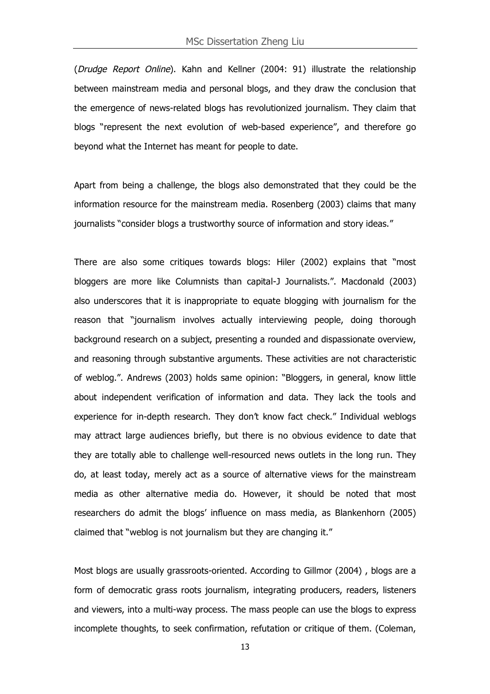(Drudge Report Online). Kahn and Kellner (2004: 91) illustrate the relationship between mainstream media and personal blogs, and they draw the conclusion that the emergence of news-related blogs has revolutionized journalism. They claim that blogs "represent the next evolution of web-based experience", and therefore go beyond what the Internet has meant for people to date.

Apart from being a challenge, the blogs also demonstrated that they could be the information resource for the mainstream media. Rosenberg (2003) claims that many journalists "consider blogs a trustworthy source of information and story ideas."

There are also some critiques towards blogs: Hiler (2002) explains that "most bloggers are more like Columnists than capital-J Journalists.". Macdonald (2003) also underscores that it is inappropriate to equate blogging with journalism for the reason that "journalism involves actually interviewing people, doing thorough background research on a subject, presenting a rounded and dispassionate overview, and reasoning through substantive arguments. These activities are not characteristic of weblog.". Andrews (2003) holds same opinion: "Bloggers, in general, know little about independent verification of information and data. They lack the tools and experience for in-depth research. They don't know fact check." Individual weblogs may attract large audiences briefly, but there is no obvious evidence to date that they are totally able to challenge well-resourced news outlets in the long run. They do, at least today, merely act as a source of alternative views for the mainstream media as other alternative media do. However, it should be noted that most researchers do admit the blogs' influence on mass media, as Blankenhorn (2005) claimed that "weblog is not journalism but they are changing it."

Most blogs are usually grassroots-oriented. According to Gillmor (2004) , blogs are a form of democratic grass roots journalism, integrating producers, readers, listeners and viewers, into a multi-way process. The mass people can use the blogs to express incomplete thoughts, to seek confirmation, refutation or critique of them. (Coleman,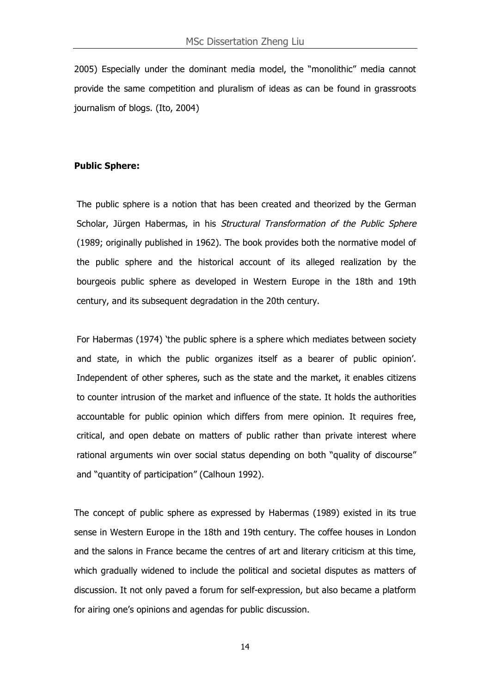2005) Especially under the dominant media model, the "monolithic" media cannot provide the same competition and pluralism of ideas as can be found in grassroots journalism of blogs. (Ito, 2004)

#### **Public Sphere:**

The public sphere is a notion that has been created and theorized by the German Scholar, Jürgen Habermas, in his Structural Transformation of the Public Sphere (1989; originally published in 1962). The book provides both the normative model of the public sphere and the historical account of its alleged realization by the bourgeois public sphere as developed in Western Europe in the 18th and 19th century, and its subsequent degradation in the 20th century.

For Habermas (1974) 'the public sphere is a sphere which mediates between society and state, in which the public organizes itself as a bearer of public opinion'. Independent of other spheres, such as the state and the market, it enables citizens to counter intrusion of the market and influence of the state. It holds the authorities accountable for public opinion which differs from mere opinion. It requires free, critical, and open debate on matters of public rather than private interest where rational arguments win over social status depending on both "quality of discourse" and "quantity of participation" (Calhoun 1992).

The concept of public sphere as expressed by Habermas (1989) existed in its true sense in Western Europe in the 18th and 19th century. The coffee houses in London and the salons in France became the centres of art and literary criticism at this time, which gradually widened to include the political and societal disputes as matters of discussion. It not only paved a forum for self-expression, but also became a platform for airing one's opinions and agendas for public discussion.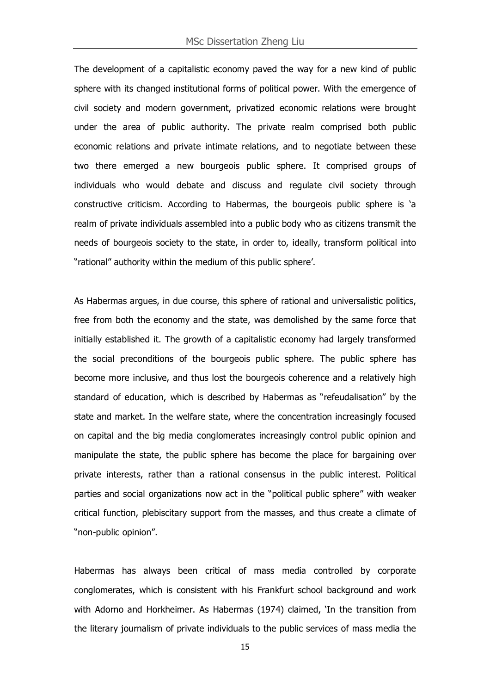The development of a capitalistic economy paved the way for a new kind of public sphere with its changed institutional forms of political power. With the emergence of civil society and modern government, privatized economic relations were brought under the area of public authority. The private realm comprised both public economic relations and private intimate relations, and to negotiate between these two there emerged a new bourgeois public sphere. It comprised groups of individuals who would debate and discuss and regulate civil society through constructive criticism. According to Habermas, the bourgeois public sphere is 'a realm of private individuals assembled into a public body who as citizens transmit the needs of bourgeois society to the state, in order to, ideally, transform political into "rational" authority within the medium of this public sphere'.

As Habermas argues, in due course, this sphere of rational and universalistic politics, free from both the economy and the state, was demolished by the same force that initially established it. The growth of a capitalistic economy had largely transformed the social preconditions of the bourgeois public sphere. The public sphere has become more inclusive, and thus lost the bourgeois coherence and a relatively high standard of education, which is described by Habermas as "refeudalisation" by the state and market. In the welfare state, where the concentration increasingly focused on capital and the big media conglomerates increasingly control public opinion and manipulate the state, the public sphere has become the place for bargaining over private interests, rather than a rational consensus in the public interest. Political parties and social organizations now act in the "political public sphere" with weaker critical function, plebiscitary support from the masses, and thus create a climate of "non-public opinion".

Habermas has always been critical of mass media controlled by corporate conglomerates, which is consistent with his Frankfurt school background and work with Adorno and Horkheimer. As Habermas (1974) claimed, 'In the transition from the literary journalism of private individuals to the public services of mass media the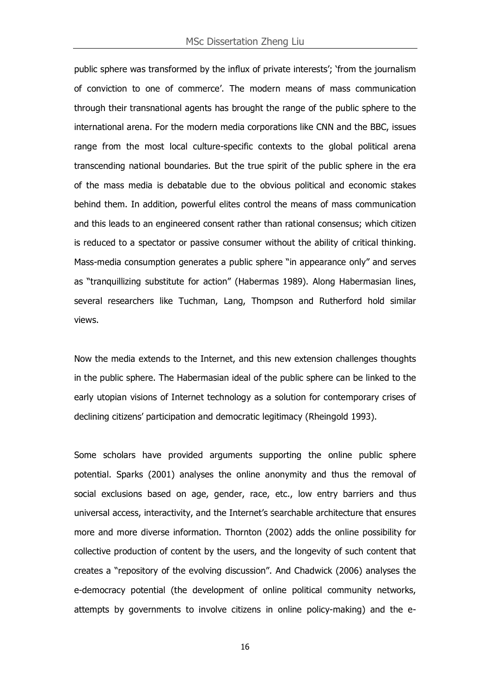public sphere was transformed by the influx of private interests'; 'from the journalism of conviction to one of commerce'. The modern means of mass communication through their transnational agents has brought the range of the public sphere to the international arena. For the modern media corporations like CNN and the BBC, issues range from the most local culture-specific contexts to the global political arena transcending national boundaries. But the true spirit of the public sphere in the era of the mass media is debatable due to the obvious political and economic stakes behind them. In addition, powerful elites control the means of mass communication and this leads to an engineered consent rather than rational consensus; which citizen is reduced to a spectator or passive consumer without the ability of critical thinking. Mass-media consumption generates a public sphere "in appearance only" and serves as "tranquillizing substitute for action" (Habermas 1989). Along Habermasian lines, several researchers like Tuchman, Lang, Thompson and Rutherford hold similar views.

Now the media extends to the Internet, and this new extension challenges thoughts in the public sphere. The Habermasian ideal of the public sphere can be linked to the early utopian visions of Internet technology as a solution for contemporary crises of declining citizens' participation and democratic legitimacy (Rheingold 1993).

Some scholars have provided arguments supporting the online public sphere potential. Sparks (2001) analyses the online anonymity and thus the removal of social exclusions based on age, gender, race, etc., low entry barriers and thus universal access, interactivity, and the Internet's searchable architecture that ensures more and more diverse information. Thornton (2002) adds the online possibility for collective production of content by the users, and the longevity of such content that creates a "repository of the evolving discussion". And Chadwick (2006) analyses the e-democracy potential (the development of online political community networks, attempts by governments to involve citizens in online policy-making) and the e-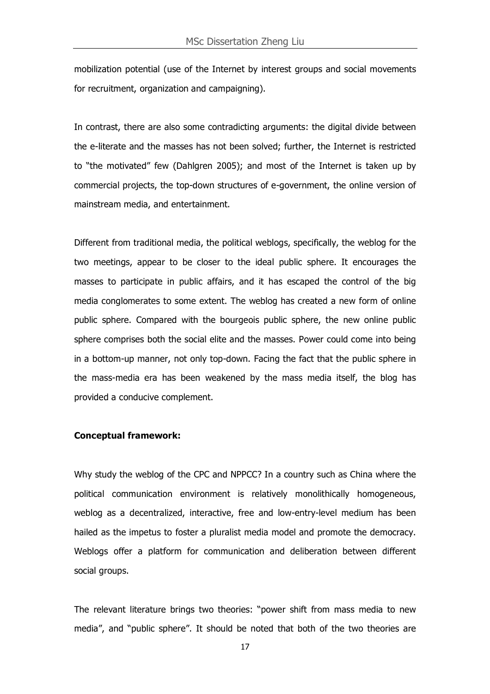mobilization potential (use of the Internet by interest groups and social movements for recruitment, organization and campaigning).

In contrast, there are also some contradicting arguments: the digital divide between the e-literate and the masses has not been solved; further, the Internet is restricted to "the motivated" few (Dahlgren 2005); and most of the Internet is taken up by commercial projects, the top-down structures of e-government, the online version of mainstream media, and entertainment.

Different from traditional media, the political weblogs, specifically, the weblog for the two meetings, appear to be closer to the ideal public sphere. It encourages the masses to participate in public affairs, and it has escaped the control of the big media conglomerates to some extent. The weblog has created a new form of online public sphere. Compared with the bourgeois public sphere, the new online public sphere comprises both the social elite and the masses. Power could come into being in a bottom-up manner, not only top-down. Facing the fact that the public sphere in the mass-media era has been weakened by the mass media itself, the blog has provided a conducive complement.

#### **Conceptual framework:**

Why study the weblog of the CPC and NPPCC? In a country such as China where the political communication environment is relatively monolithically homogeneous, weblog as a decentralized, interactive, free and low-entry-level medium has been hailed as the impetus to foster a pluralist media model and promote the democracy. Weblogs offer a platform for communication and deliberation between different social groups.

The relevant literature brings two theories: "power shift from mass media to new media", and "public sphere". It should be noted that both of the two theories are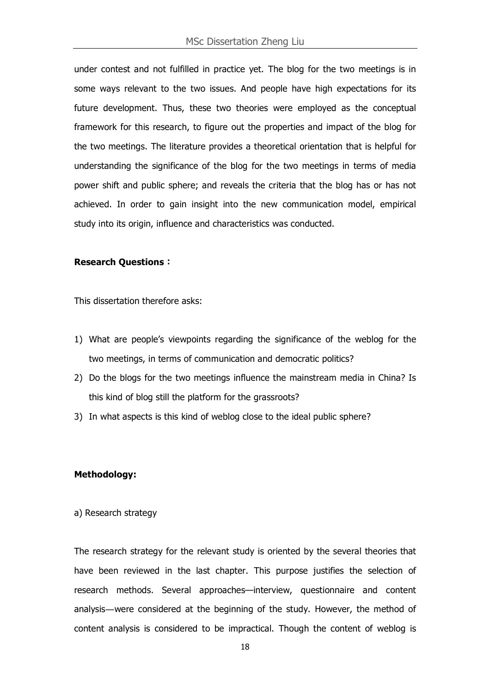under contest and not fulfilled in practice yet. The blog for the two meetings is in some ways relevant to the two issues. And people have high expectations for its future development. Thus, these two theories were employed as the conceptual framework for this research, to figure out the properties and impact of the blog for the two meetings. The literature provides a theoretical orientation that is helpful for understanding the significance of the blog for the two meetings in terms of media power shift and public sphere; and reveals the criteria that the blog has or has not achieved. In order to gain insight into the new communication model, empirical study into its origin, influence and characteristics was conducted.

#### **Research Questions**:

This dissertation therefore asks:

- 1) What are people's viewpoints regarding the significance of the weblog for the two meetings, in terms of communication and democratic politics?
- 2) Do the blogs for the two meetings influence the mainstream media in China? Is this kind of blog still the platform for the grassroots?
- 3) In what aspects is this kind of weblog close to the ideal public sphere?

#### **Methodology:**

a) Research strategy

The research strategy for the relevant study is oriented by the several theories that have been reviewed in the last chapter. This purpose justifies the selection of research methods. Several approaches—interview, questionnaire and content analysis―were considered at the beginning of the study. However, the method of content analysis is considered to be impractical. Though the content of weblog is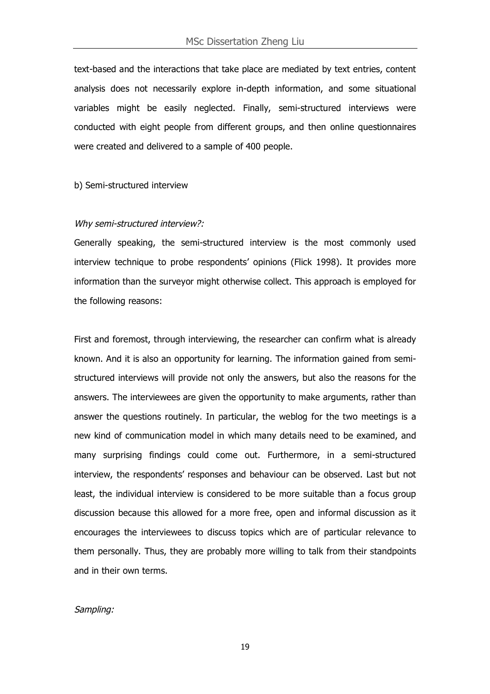text-based and the interactions that take place are mediated by text entries, content analysis does not necessarily explore in-depth information, and some situational variables might be easily neglected. Finally, semi-structured interviews were conducted with eight people from different groups, and then online questionnaires were created and delivered to a sample of 400 people.

#### b) Semi-structured interview

#### Why semi-structured interview?:

Generally speaking, the semi-structured interview is the most commonly used interview technique to probe respondents' opinions (Flick 1998). It provides more information than the surveyor might otherwise collect. This approach is employed for the following reasons:

First and foremost, through interviewing, the researcher can confirm what is already known. And it is also an opportunity for learning. The information gained from semistructured interviews will provide not only the answers, but also the reasons for the answers. The interviewees are given the opportunity to make arguments, rather than answer the questions routinely. In particular, the weblog for the two meetings is a new kind of communication model in which many details need to be examined, and many surprising findings could come out. Furthermore, in a semi-structured interview, the respondents' responses and behaviour can be observed. Last but not least, the individual interview is considered to be more suitable than a focus group discussion because this allowed for a more free, open and informal discussion as it encourages the interviewees to discuss topics which are of particular relevance to them personally. Thus, they are probably more willing to talk from their standpoints and in their own terms.

#### Sampling: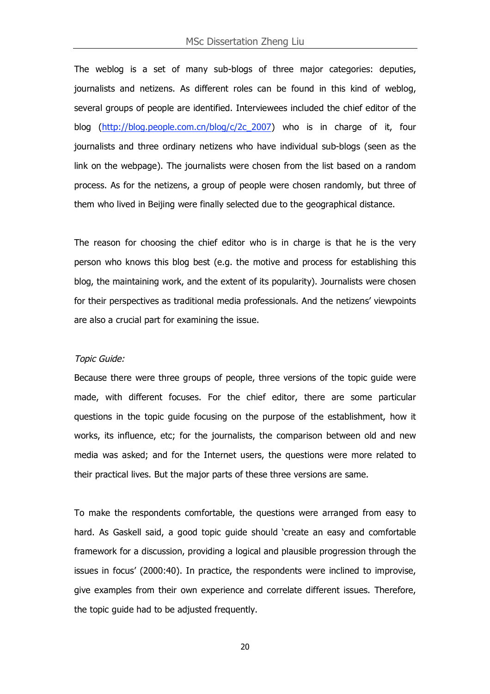The weblog is a set of many sub-blogs of three major categories: deputies, journalists and netizens. As different roles can be found in this kind of weblog, several groups of people are identified. Interviewees included the chief editor of the blog (http://blog.people.com.cn/blog/c/2c\_2007) who is in charge of it, four journalists and three ordinary netizens who have individual sub-blogs (seen as the link on the webpage). The journalists were chosen from the list based on a random process. As for the netizens, a group of people were chosen randomly, but three of them who lived in Beijing were finally selected due to the geographical distance.

The reason for choosing the chief editor who is in charge is that he is the very person who knows this blog best (e.g. the motive and process for establishing this blog, the maintaining work, and the extent of its popularity). Journalists were chosen for their perspectives as traditional media professionals. And the netizens' viewpoints are also a crucial part for examining the issue.

#### Topic Guide:

Because there were three groups of people, three versions of the topic guide were made, with different focuses. For the chief editor, there are some particular questions in the topic guide focusing on the purpose of the establishment, how it works, its influence, etc; for the journalists, the comparison between old and new media was asked; and for the Internet users, the questions were more related to their practical lives. But the major parts of these three versions are same.

To make the respondents comfortable, the questions were arranged from easy to hard. As Gaskell said, a good topic guide should 'create an easy and comfortable framework for a discussion, providing a logical and plausible progression through the issues in focus' (2000:40). In practice, the respondents were inclined to improvise, give examples from their own experience and correlate different issues. Therefore, the topic guide had to be adjusted frequently.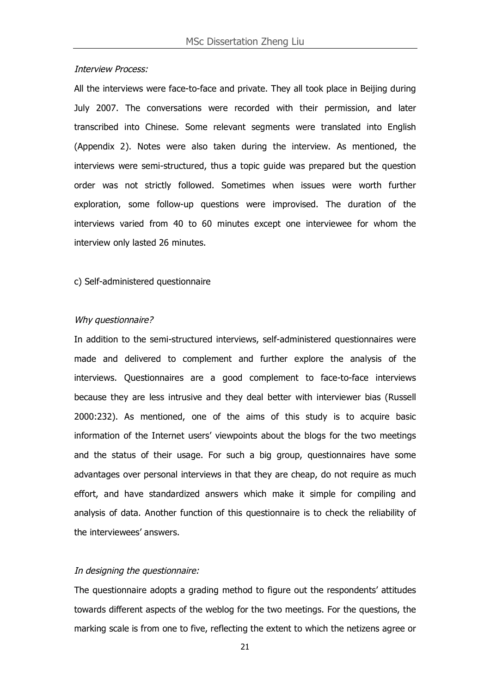#### Interview Process:

All the interviews were face-to-face and private. They all took place in Beijing during July 2007. The conversations were recorded with their permission, and later transcribed into Chinese. Some relevant segments were translated into English (Appendix 2). Notes were also taken during the interview. As mentioned, the interviews were semi-structured, thus a topic guide was prepared but the question order was not strictly followed. Sometimes when issues were worth further exploration, some follow-up questions were improvised. The duration of the interviews varied from 40 to 60 minutes except one interviewee for whom the interview only lasted 26 minutes.

#### c) Self-administered questionnaire

#### Why questionnaire?

In addition to the semi-structured interviews, self-administered questionnaires were made and delivered to complement and further explore the analysis of the interviews. Questionnaires are a good complement to face-to-face interviews because they are less intrusive and they deal better with interviewer bias (Russell 2000:232). As mentioned, one of the aims of this study is to acquire basic information of the Internet users' viewpoints about the blogs for the two meetings and the status of their usage. For such a big group, questionnaires have some advantages over personal interviews in that they are cheap, do not require as much effort, and have standardized answers which make it simple for compiling and analysis of data. Another function of this questionnaire is to check the reliability of the interviewees' answers.

#### In designing the questionnaire:

The questionnaire adopts a grading method to figure out the respondents' attitudes towards different aspects of the weblog for the two meetings. For the questions, the marking scale is from one to five, reflecting the extent to which the netizens agree or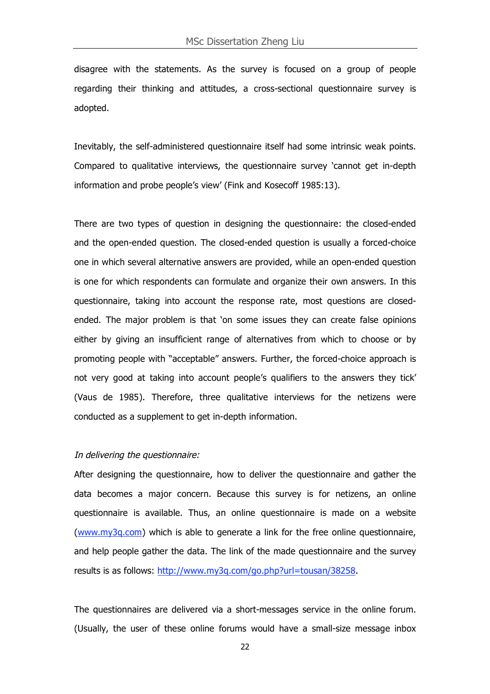disagree with the statements. As the survey is focused on a group of people regarding their thinking and attitudes, a cross-sectional questionnaire survey is adopted.

Inevitably, the self-administered questionnaire itself had some intrinsic weak points. Compared to qualitative interviews, the questionnaire survey 'cannot get in-depth information and probe people's view' (Fink and Kosecoff 1985:13).

There are two types of question in designing the questionnaire: the closed-ended and the open-ended question. The closed-ended question is usually a forced-choice one in which several alternative answers are provided, while an open-ended question is one for which respondents can formulate and organize their own answers. In this questionnaire, taking into account the response rate, most questions are closedended. The major problem is that 'on some issues they can create false opinions either by giving an insufficient range of alternatives from which to choose or by promoting people with "acceptable" answers. Further, the forced-choice approach is not very good at taking into account people's qualifiers to the answers they tick' (Vaus de 1985). Therefore, three qualitative interviews for the netizens were conducted as a supplement to get in-depth information.

#### In delivering the questionnaire:

After designing the questionnaire, how to deliver the questionnaire and gather the data becomes a major concern. Because this survey is for netizens, an online questionnaire is available. Thus, an online questionnaire is made on a website (www.my3q.com) which is able to generate a link for the free online questionnaire, and help people gather the data. The link of the made questionnaire and the survey results is as follows: http://www.my3q.com/go.php?url=tousan/38258.

The questionnaires are delivered via a short-messages service in the online forum. (Usually, the user of these online forums would have a small-size message inbox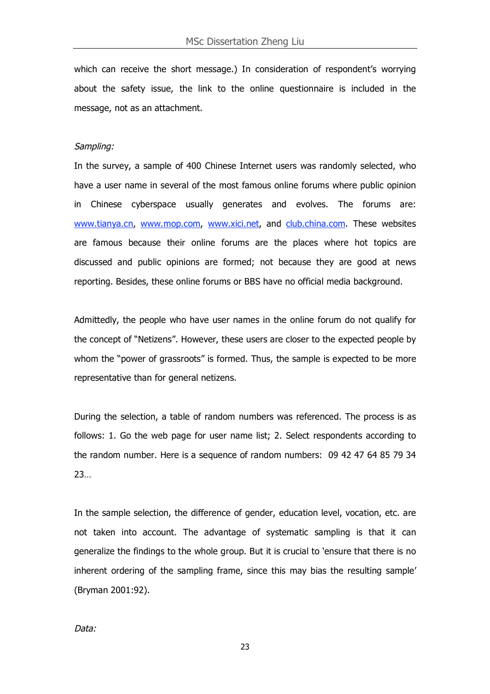which can receive the short message.) In consideration of respondent's worrying about the safety issue, the link to the online questionnaire is included in the message, not as an attachment.

#### Sampling:

In the survey, a sample of 400 Chinese Internet users was randomly selected, who have a user name in several of the most famous online forums where public opinion in Chinese cyberspace usually generates and evolves. The forums are: www.tianya.cn, www.mop.com, www.xici.net, and club.china.com. These websites are famous because their online forums are the places where hot topics are discussed and public opinions are formed; not because they are good at news reporting. Besides, these online forums or BBS have no official media background.

Admittedly, the people who have user names in the online forum do not qualify for the concept of "Netizens". However, these users are closer to the expected people by whom the "power of grassroots" is formed. Thus, the sample is expected to be more representative than for general netizens.

During the selection, a table of random numbers was referenced. The process is as follows: 1. Go the web page for user name list; 2. Select respondents according to the random number. Here is a sequence of random numbers: 09 42 47 64 85 79 34 23…

In the sample selection, the difference of gender, education level, vocation, etc. are not taken into account. The advantage of systematic sampling is that it can generalize the findings to the whole group. But it is crucial to 'ensure that there is no inherent ordering of the sampling frame, since this may bias the resulting sample' (Bryman 2001:92).

Data: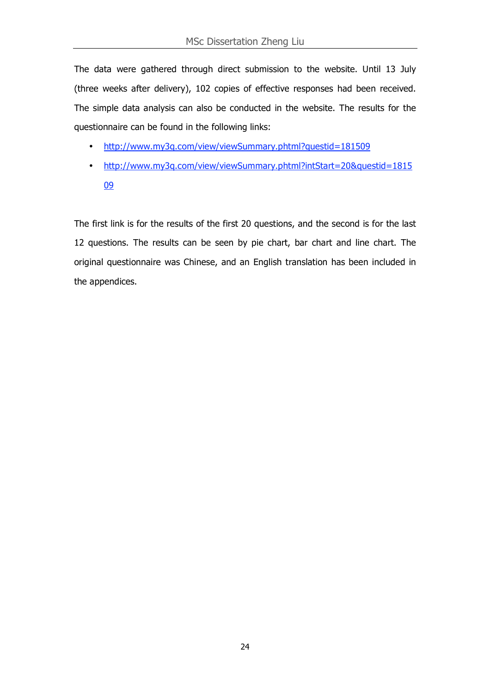The data were gathered through direct submission to the website. Until 13 July (three weeks after delivery), 102 copies of effective responses had been received. The simple data analysis can also be conducted in the website. The results for the questionnaire can be found in the following links:

- http://www.my3q.com/view/viewSummary.phtml?questid=181509
- http://www.my3q.com/view/viewSummary.phtml?intStart=20&questid=1815 09

The first link is for the results of the first 20 questions, and the second is for the last 12 questions. The results can be seen by pie chart, bar chart and line chart. The original questionnaire was Chinese, and an English translation has been included in the appendices.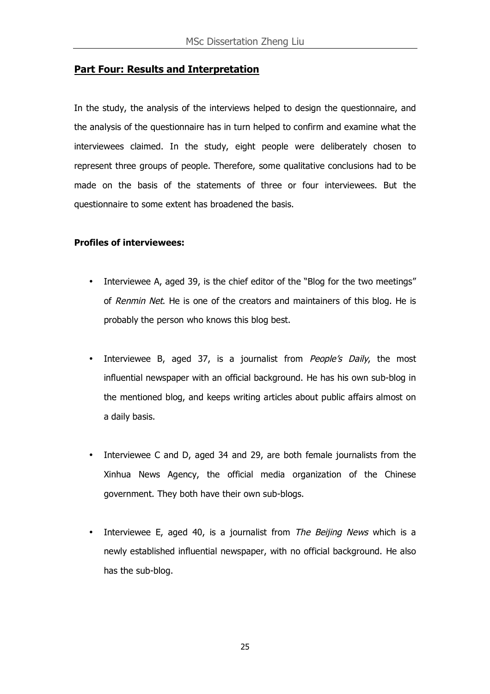#### **Part Four: Results and Interpretation**

In the study, the analysis of the interviews helped to design the questionnaire, and the analysis of the questionnaire has in turn helped to confirm and examine what the interviewees claimed. In the study, eight people were deliberately chosen to represent three groups of people. Therefore, some qualitative conclusions had to be made on the basis of the statements of three or four interviewees. But the questionnaire to some extent has broadened the basis.

#### **Profiles of interviewees:**

- Interviewee A, aged 39, is the chief editor of the "Blog for the two meetings" of Renmin Net. He is one of the creators and maintainers of this blog. He is probably the person who knows this blog best.
- Interviewee B, aged 37, is a journalist from *People's Daily*, the most influential newspaper with an official background. He has his own sub-blog in the mentioned blog, and keeps writing articles about public affairs almost on a daily basis.
- Interviewee C and D, aged 34 and 29, are both female journalists from the Xinhua News Agency, the official media organization of the Chinese government. They both have their own sub-blogs.
- Interviewee E, aged 40, is a journalist from The Beijing News which is a newly established influential newspaper, with no official background. He also has the sub-blog.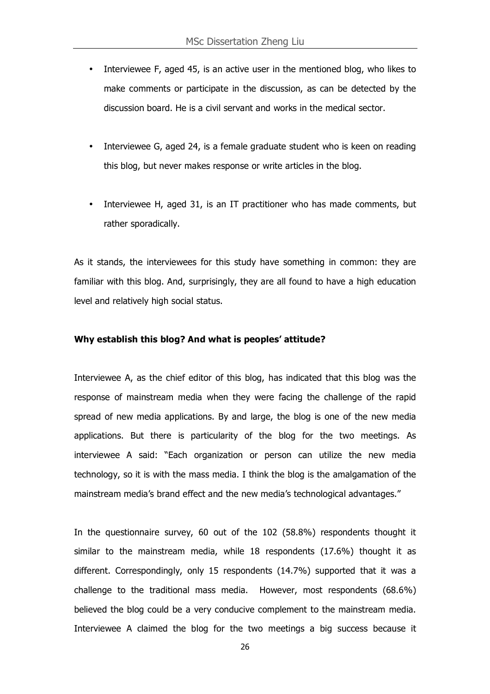- Interviewee F, aged 45, is an active user in the mentioned blog, who likes to make comments or participate in the discussion, as can be detected by the discussion board. He is a civil servant and works in the medical sector.
- Interviewee G, aged 24, is a female graduate student who is keen on reading this blog, but never makes response or write articles in the blog.
- Interviewee H, aged 31, is an IT practitioner who has made comments, but rather sporadically.

As it stands, the interviewees for this study have something in common: they are familiar with this blog. And, surprisingly, they are all found to have a high education level and relatively high social status.

#### **Why establish this blog? And what is peoples' attitude?**

Interviewee A, as the chief editor of this blog, has indicated that this blog was the response of mainstream media when they were facing the challenge of the rapid spread of new media applications. By and large, the blog is one of the new media applications. But there is particularity of the blog for the two meetings. As interviewee A said: "Each organization or person can utilize the new media technology, so it is with the mass media. I think the blog is the amalgamation of the mainstream media's brand effect and the new media's technological advantages."

In the questionnaire survey, 60 out of the 102 (58.8%) respondents thought it similar to the mainstream media, while 18 respondents (17.6%) thought it as different. Correspondingly, only 15 respondents (14.7%) supported that it was a challenge to the traditional mass media. However, most respondents (68.6%) believed the blog could be a very conducive complement to the mainstream media. Interviewee A claimed the blog for the two meetings a big success because it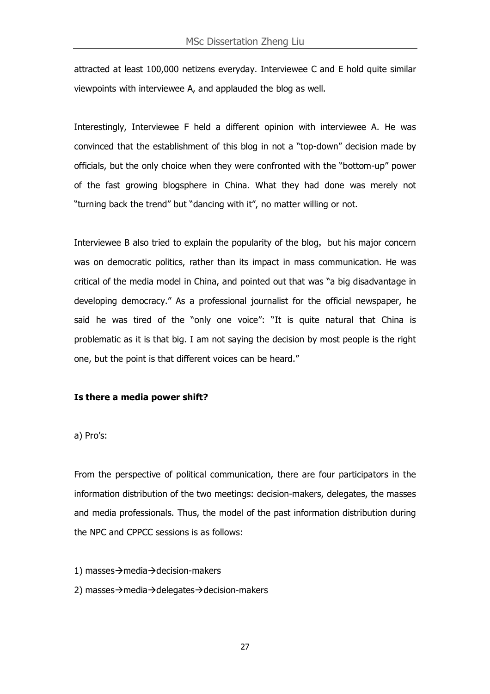attracted at least 100,000 netizens everyday. Interviewee C and E hold quite similar viewpoints with interviewee A, and applauded the blog as well.

Interestingly, Interviewee F held a different opinion with interviewee A. He was convinced that the establishment of this blog in not a "top-down" decision made by officials, but the only choice when they were confronted with the "bottom-up" power of the fast growing blogsphere in China. What they had done was merely not "turning back the trend" but "dancing with it", no matter willing or not.

Interviewee B also tried to explain the popularity of the blog, but his major concern was on democratic politics, rather than its impact in mass communication. He was critical of the media model in China, and pointed out that was "a big disadvantage in developing democracy." As a professional journalist for the official newspaper, he said he was tired of the "only one voice": "It is quite natural that China is problematic as it is that big. I am not saying the decision by most people is the right one, but the point is that different voices can be heard."

#### **Is there a media power shift?**

a) Pro's:

From the perspective of political communication, there are four participators in the information distribution of the two meetings: decision-makers, delegates, the masses and media professionals. Thus, the model of the past information distribution during the NPC and CPPCC sessions is as follows:

1) masses $\rightarrow$ media $\rightarrow$ decision-makers

2) masses $\rightarrow$ media $\rightarrow$ delegates $\rightarrow$ decision-makers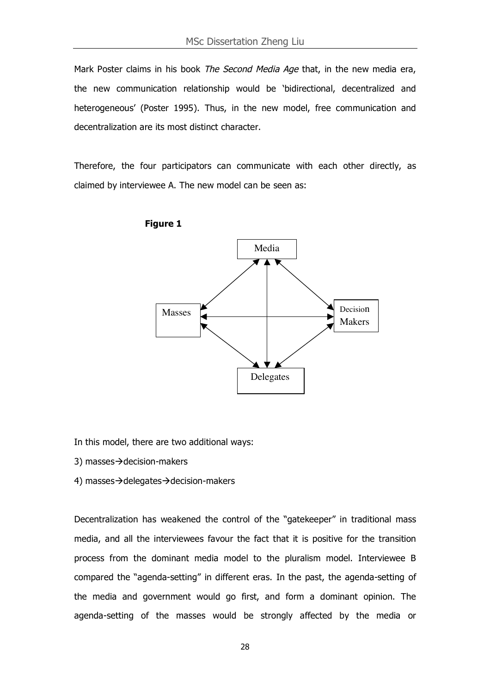Mark Poster claims in his book The Second Media Age that, in the new media era, the new communication relationship would be 'bidirectional, decentralized and heterogeneous' (Poster 1995). Thus, in the new model, free communication and decentralization are its most distinct character.

Therefore, the four participators can communicate with each other directly, as claimed by interviewee A. The new model can be seen as:





In this model, there are two additional ways:

- 3) masses $\rightarrow$ decision-makers
- 4) masses $\rightarrow$ delegates $\rightarrow$ decision-makers

Decentralization has weakened the control of the "gatekeeper" in traditional mass media, and all the interviewees favour the fact that it is positive for the transition process from the dominant media model to the pluralism model. Interviewee B compared the "agenda-setting" in different eras. In the past, the agenda-setting of the media and government would go first, and form a dominant opinion. The agenda-setting of the masses would be strongly affected by the media or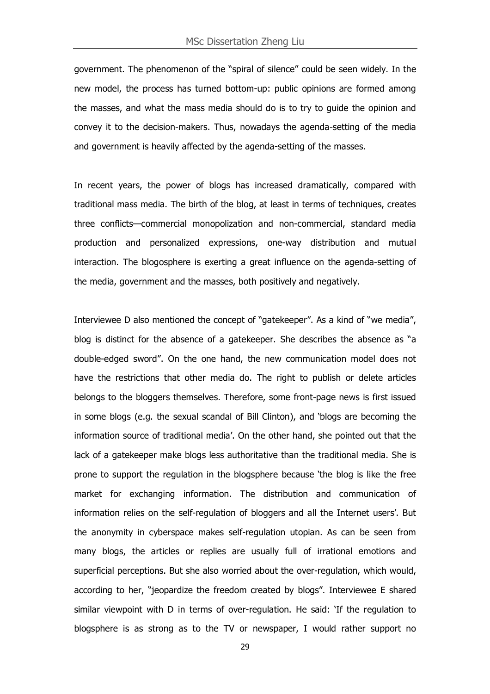government. The phenomenon of the "spiral of silence" could be seen widely. In the new model, the process has turned bottom-up: public opinions are formed among the masses, and what the mass media should do is to try to guide the opinion and convey it to the decision-makers. Thus, nowadays the agenda-setting of the media and government is heavily affected by the agenda-setting of the masses.

In recent years, the power of blogs has increased dramatically, compared with traditional mass media. The birth of the blog, at least in terms of techniques, creates three conflicts—commercial monopolization and non-commercial, standard media production and personalized expressions, one-way distribution and mutual interaction. The blogosphere is exerting a great influence on the agenda-setting of the media, government and the masses, both positively and negatively.

Interviewee D also mentioned the concept of "gatekeeper". As a kind of "we media", blog is distinct for the absence of a gatekeeper. She describes the absence as "a double-edged sword". On the one hand, the new communication model does not have the restrictions that other media do. The right to publish or delete articles belongs to the bloggers themselves. Therefore, some front-page news is first issued in some blogs (e.g. the sexual scandal of Bill Clinton), and 'blogs are becoming the information source of traditional media'. On the other hand, she pointed out that the lack of a gatekeeper make blogs less authoritative than the traditional media. She is prone to support the regulation in the blogsphere because 'the blog is like the free market for exchanging information. The distribution and communication of information relies on the self-regulation of bloggers and all the Internet users'. But the anonymity in cyberspace makes self-regulation utopian. As can be seen from many blogs, the articles or replies are usually full of irrational emotions and superficial perceptions. But she also worried about the over-regulation, which would, according to her, "jeopardize the freedom created by blogs". Interviewee E shared similar viewpoint with D in terms of over-regulation. He said: 'If the regulation to blogsphere is as strong as to the TV or newspaper, I would rather support no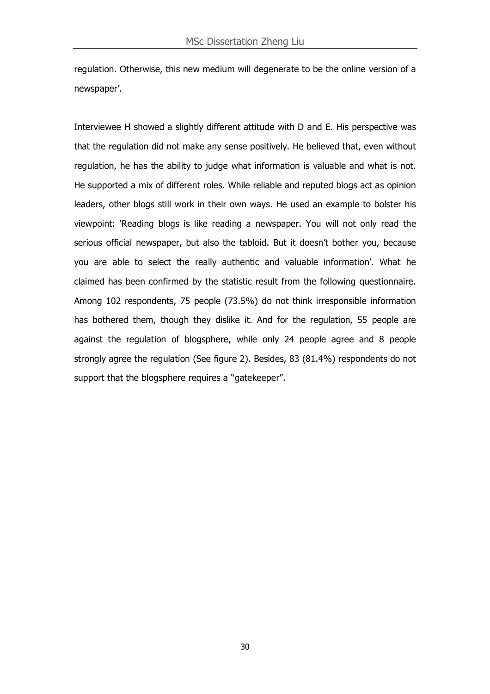regulation. Otherwise, this new medium will degenerate to be the online version of a newspaper'.

Interviewee H showed a slightly different attitude with D and E. His perspective was that the regulation did not make any sense positively. He believed that, even without regulation, he has the ability to judge what information is valuable and what is not. He supported a mix of different roles. While reliable and reputed blogs act as opinion leaders, other blogs still work in their own ways. He used an example to bolster his viewpoint: 'Reading blogs is like reading a newspaper. You will not only read the serious official newspaper, but also the tabloid. But it doesn't bother you, because you are able to select the really authentic and valuable information'. What he claimed has been confirmed by the statistic result from the following questionnaire. Among 102 respondents, 75 people (73.5%) do not think irresponsible information has bothered them, though they dislike it. And for the regulation, 55 people are against the regulation of blogsphere, while only 24 people agree and 8 people strongly agree the regulation (See figure 2). Besides, 83 (81.4%) respondents do not support that the blogsphere requires a "gatekeeper".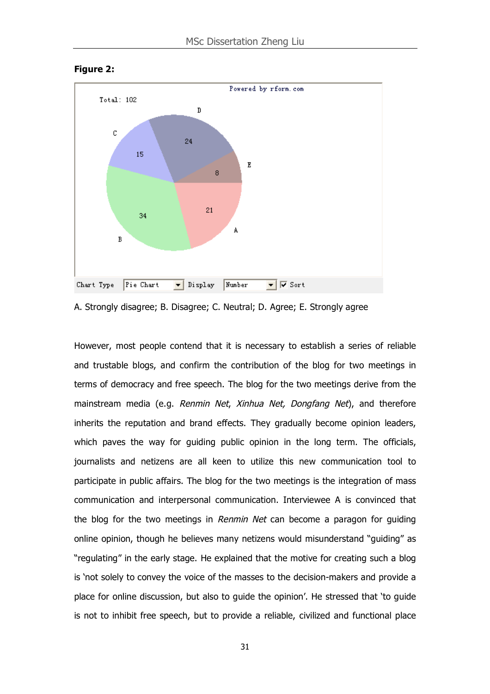

**Figure 2:**



However, most people contend that it is necessary to establish a series of reliable and trustable blogs, and confirm the contribution of the blog for two meetings in terms of democracy and free speech. The blog for the two meetings derive from the mainstream media (e.g. Renmin Net, Xinhua Net, Dongfang Net), and therefore inherits the reputation and brand effects. They gradually become opinion leaders, which paves the way for guiding public opinion in the long term. The officials, journalists and netizens are all keen to utilize this new communication tool to participate in public affairs. The blog for the two meetings is the integration of mass communication and interpersonal communication. Interviewee A is convinced that the blog for the two meetings in Renmin Net can become a paragon for guiding online opinion, though he believes many netizens would misunderstand "guiding" as "regulating" in the early stage. He explained that the motive for creating such a blog is 'not solely to convey the voice of the masses to the decision-makers and provide a place for online discussion, but also to guide the opinion'. He stressed that 'to guide is not to inhibit free speech, but to provide a reliable, civilized and functional place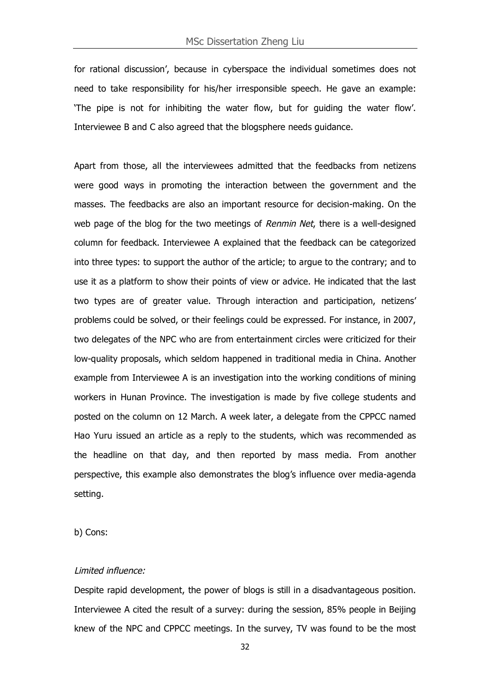for rational discussion', because in cyberspace the individual sometimes does not need to take responsibility for his/her irresponsible speech. He gave an example: 'The pipe is not for inhibiting the water flow, but for guiding the water flow'. Interviewee B and C also agreed that the blogsphere needs guidance.

Apart from those, all the interviewees admitted that the feedbacks from netizens were good ways in promoting the interaction between the government and the masses. The feedbacks are also an important resource for decision-making. On the web page of the blog for the two meetings of Renmin Net, there is a well-designed column for feedback. Interviewee A explained that the feedback can be categorized into three types: to support the author of the article; to argue to the contrary; and to use it as a platform to show their points of view or advice. He indicated that the last two types are of greater value. Through interaction and participation, netizens' problems could be solved, or their feelings could be expressed. For instance, in 2007, two delegates of the NPC who are from entertainment circles were criticized for their low-quality proposals, which seldom happened in traditional media in China. Another example from Interviewee A is an investigation into the working conditions of mining workers in Hunan Province. The investigation is made by five college students and posted on the column on 12 March. A week later, a delegate from the CPPCC named Hao Yuru issued an article as a reply to the students, which was recommended as the headline on that day, and then reported by mass media. From another perspective, this example also demonstrates the blog's influence over media-agenda setting.

b) Cons:

#### Limited influence:

Despite rapid development, the power of blogs is still in a disadvantageous position. Interviewee A cited the result of a survey: during the session, 85% people in Beijing knew of the NPC and CPPCC meetings. In the survey, TV was found to be the most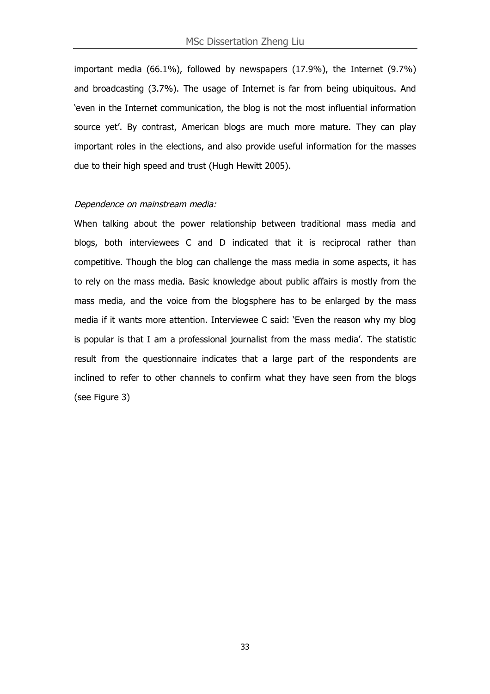important media (66.1%), followed by newspapers (17.9%), the Internet (9.7%) and broadcasting (3.7%). The usage of Internet is far from being ubiquitous. And 'even in the Internet communication, the blog is not the most influential information source yet'. By contrast, American blogs are much more mature. They can play important roles in the elections, and also provide useful information for the masses due to their high speed and trust (Hugh Hewitt 2005).

#### Dependence on mainstream media:

When talking about the power relationship between traditional mass media and blogs, both interviewees C and D indicated that it is reciprocal rather than competitive. Though the blog can challenge the mass media in some aspects, it has to rely on the mass media. Basic knowledge about public affairs is mostly from the mass media, and the voice from the blogsphere has to be enlarged by the mass media if it wants more attention. Interviewee C said: 'Even the reason why my blog is popular is that I am a professional journalist from the mass media'. The statistic result from the questionnaire indicates that a large part of the respondents are inclined to refer to other channels to confirm what they have seen from the blogs (see Figure 3)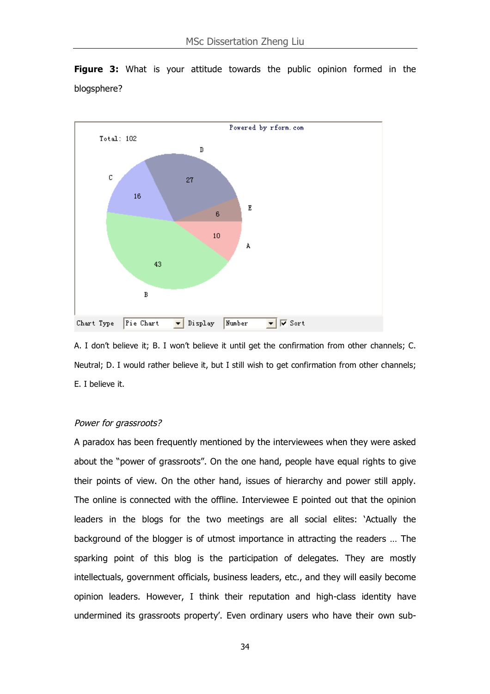

**Figure 3:** What is your attitude towards the public opinion formed in the blogsphere?

A. I don't believe it; B. I won't believe it until get the confirmation from other channels; C. Neutral; D. I would rather believe it, but I still wish to get confirmation from other channels; E. I believe it.

#### Power for grassroots?

A paradox has been frequently mentioned by the interviewees when they were asked about the "power of grassroots". On the one hand, people have equal rights to give their points of view. On the other hand, issues of hierarchy and power still apply. The online is connected with the offline. Interviewee E pointed out that the opinion leaders in the blogs for the two meetings are all social elites: 'Actually the background of the blogger is of utmost importance in attracting the readers … The sparking point of this blog is the participation of delegates. They are mostly intellectuals, government officials, business leaders, etc., and they will easily become opinion leaders. However, I think their reputation and high-class identity have undermined its grassroots property'. Even ordinary users who have their own sub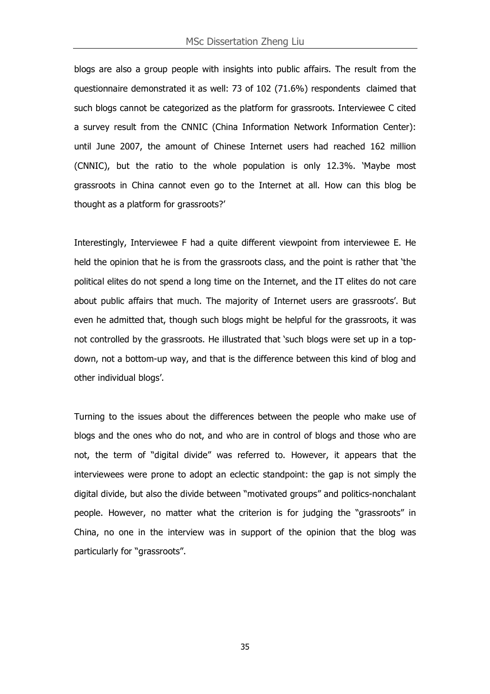blogs are also a group people with insights into public affairs. The result from the questionnaire demonstrated it as well: 73 of 102 (71.6%) respondents claimed that such blogs cannot be categorized as the platform for grassroots. Interviewee C cited a survey result from the CNNIC (China Information Network Information Center): until June 2007, the amount of Chinese Internet users had reached 162 million (CNNIC), but the ratio to the whole population is only 12.3%. 'Maybe most grassroots in China cannot even go to the Internet at all. How can this blog be thought as a platform for grassroots?'

Interestingly, Interviewee F had a quite different viewpoint from interviewee E. He held the opinion that he is from the grassroots class, and the point is rather that 'the political elites do not spend a long time on the Internet, and the IT elites do not care about public affairs that much. The majority of Internet users are grassroots'. But even he admitted that, though such blogs might be helpful for the grassroots, it was not controlled by the grassroots. He illustrated that 'such blogs were set up in a topdown, not a bottom-up way, and that is the difference between this kind of blog and other individual blogs'.

Turning to the issues about the differences between the people who make use of blogs and the ones who do not, and who are in control of blogs and those who are not, the term of "digital divide" was referred to. However, it appears that the interviewees were prone to adopt an eclectic standpoint: the gap is not simply the digital divide, but also the divide between "motivated groups" and politics-nonchalant people. However, no matter what the criterion is for judging the "grassroots" in China, no one in the interview was in support of the opinion that the blog was particularly for "grassroots".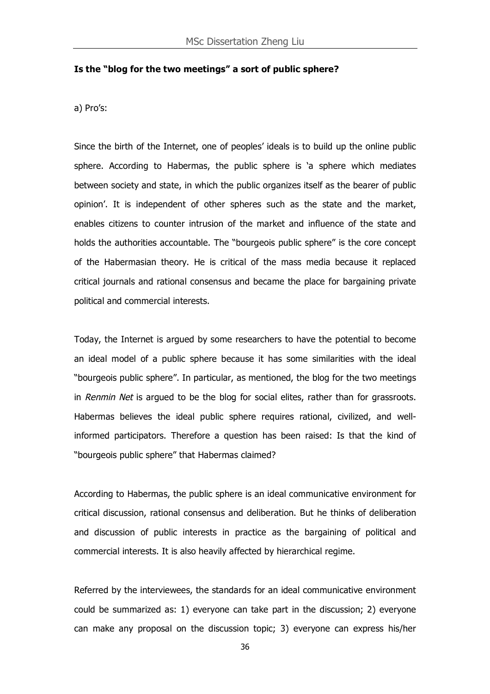#### **Is the "blog for the two meetings" a sort of public sphere?**

a) Pro's:

Since the birth of the Internet, one of peoples' ideals is to build up the online public sphere. According to Habermas, the public sphere is 'a sphere which mediates between society and state, in which the public organizes itself as the bearer of public opinion'. It is independent of other spheres such as the state and the market, enables citizens to counter intrusion of the market and influence of the state and holds the authorities accountable. The "bourgeois public sphere" is the core concept of the Habermasian theory. He is critical of the mass media because it replaced critical journals and rational consensus and became the place for bargaining private political and commercial interests.

Today, the Internet is argued by some researchers to have the potential to become an ideal model of a public sphere because it has some similarities with the ideal "bourgeois public sphere". In particular, as mentioned, the blog for the two meetings in Renmin Net is argued to be the blog for social elites, rather than for grassroots. Habermas believes the ideal public sphere requires rational, civilized, and wellinformed participators. Therefore a question has been raised: Is that the kind of "bourgeois public sphere" that Habermas claimed?

According to Habermas, the public sphere is an ideal communicative environment for critical discussion, rational consensus and deliberation. But he thinks of deliberation and discussion of public interests in practice as the bargaining of political and commercial interests. It is also heavily affected by hierarchical regime.

Referred by the interviewees, the standards for an ideal communicative environment could be summarized as: 1) everyone can take part in the discussion; 2) everyone can make any proposal on the discussion topic; 3) everyone can express his/her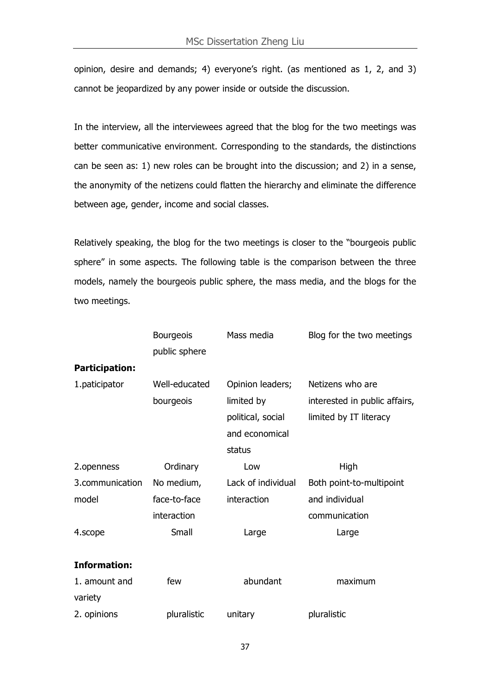opinion, desire and demands; 4) everyone's right. (as mentioned as 1, 2, and 3) cannot be jeopardized by any power inside or outside the discussion.

In the interview, all the interviewees agreed that the blog for the two meetings was better communicative environment. Corresponding to the standards, the distinctions can be seen as: 1) new roles can be brought into the discussion; and 2) in a sense, the anonymity of the netizens could flatten the hierarchy and eliminate the difference between age, gender, income and social classes.

Relatively speaking, the blog for the two meetings is closer to the "bourgeois public sphere" in some aspects. The following table is the comparison between the three models, namely the bourgeois public sphere, the mass media, and the blogs for the two meetings.

|                       | <b>Bourgeois</b><br>public sphere | Mass media         | Blog for the two meetings     |
|-----------------------|-----------------------------------|--------------------|-------------------------------|
| <b>Participation:</b> |                                   |                    |                               |
| 1.paticipator         | Well-educated                     | Opinion leaders;   | Netizens who are              |
|                       | bourgeois                         | limited by         | interested in public affairs, |
|                       |                                   | political, social  | limited by IT literacy        |
|                       |                                   | and economical     |                               |
|                       |                                   | status             |                               |
| 2.openness            | Ordinary                          | Low                | High                          |
| 3.communication       | No medium,                        | Lack of individual | Both point-to-multipoint      |
| model                 | face-to-face                      | interaction        | and individual                |
|                       | interaction                       |                    | communication                 |
| 4.scope               | Small                             | Large              | Large                         |
|                       |                                   |                    |                               |
| <b>Information:</b>   |                                   |                    |                               |
| 1. amount and         | few                               | abundant           | maximum                       |
| variety               |                                   |                    |                               |
| 2. opinions           | pluralistic                       | unitary            | pluralistic                   |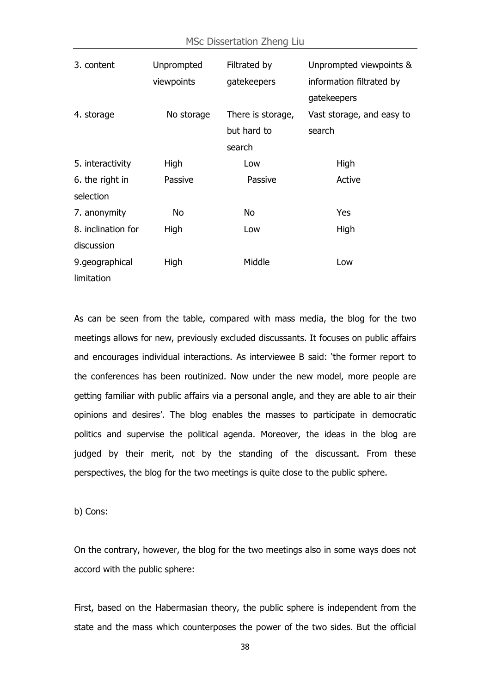| 3. content         | Unprompted | Filtrated by      | Unprompted viewpoints &   |  |  |
|--------------------|------------|-------------------|---------------------------|--|--|
|                    | viewpoints | gatekeepers       | information filtrated by  |  |  |
|                    |            |                   | gatekeepers               |  |  |
| 4. storage         | No storage | There is storage, | Vast storage, and easy to |  |  |
|                    |            | but hard to       | search                    |  |  |
|                    |            | search            |                           |  |  |
| 5. interactivity   | High       | Low               | High                      |  |  |
| 6. the right in    | Passive    | Passive           | Active                    |  |  |
| selection          |            |                   |                           |  |  |
| 7. anonymity       | No         | No                | Yes                       |  |  |
| 8. inclination for | High       | Low               | High                      |  |  |
| discussion         |            |                   |                           |  |  |
| 9.geographical     | High       | Middle            | Low                       |  |  |
| limitation         |            |                   |                           |  |  |

As can be seen from the table, compared with mass media, the blog for the two meetings allows for new, previously excluded discussants. It focuses on public affairs and encourages individual interactions. As interviewee B said: 'the former report to the conferences has been routinized. Now under the new model, more people are getting familiar with public affairs via a personal angle, and they are able to air their opinions and desires'. The blog enables the masses to participate in democratic politics and supervise the political agenda. Moreover, the ideas in the blog are judged by their merit, not by the standing of the discussant. From these perspectives, the blog for the two meetings is quite close to the public sphere.

b) Cons:

On the contrary, however, the blog for the two meetings also in some ways does not accord with the public sphere:

First, based on the Habermasian theory, the public sphere is independent from the state and the mass which counterposes the power of the two sides. But the official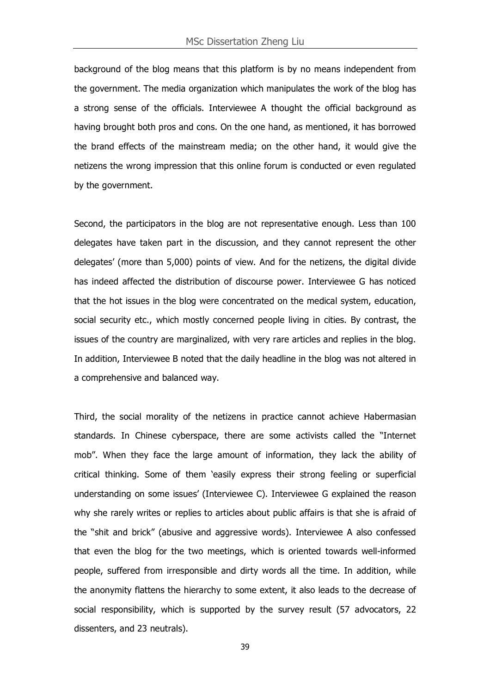background of the blog means that this platform is by no means independent from the government. The media organization which manipulates the work of the blog has a strong sense of the officials. Interviewee A thought the official background as having brought both pros and cons. On the one hand, as mentioned, it has borrowed the brand effects of the mainstream media; on the other hand, it would give the netizens the wrong impression that this online forum is conducted or even regulated by the government.

Second, the participators in the blog are not representative enough. Less than 100 delegates have taken part in the discussion, and they cannot represent the other delegates' (more than 5,000) points of view. And for the netizens, the digital divide has indeed affected the distribution of discourse power. Interviewee G has noticed that the hot issues in the blog were concentrated on the medical system, education, social security etc., which mostly concerned people living in cities. By contrast, the issues of the country are marginalized, with very rare articles and replies in the blog. In addition, Interviewee B noted that the daily headline in the blog was not altered in a comprehensive and balanced way.

Third, the social morality of the netizens in practice cannot achieve Habermasian standards. In Chinese cyberspace, there are some activists called the "Internet mob". When they face the large amount of information, they lack the ability of critical thinking. Some of them 'easily express their strong feeling or superficial understanding on some issues' (Interviewee C). Interviewee G explained the reason why she rarely writes or replies to articles about public affairs is that she is afraid of the "shit and brick" (abusive and aggressive words). Interviewee A also confessed that even the blog for the two meetings, which is oriented towards well-informed people, suffered from irresponsible and dirty words all the time. In addition, while the anonymity flattens the hierarchy to some extent, it also leads to the decrease of social responsibility, which is supported by the survey result (57 advocators, 22 dissenters, and 23 neutrals).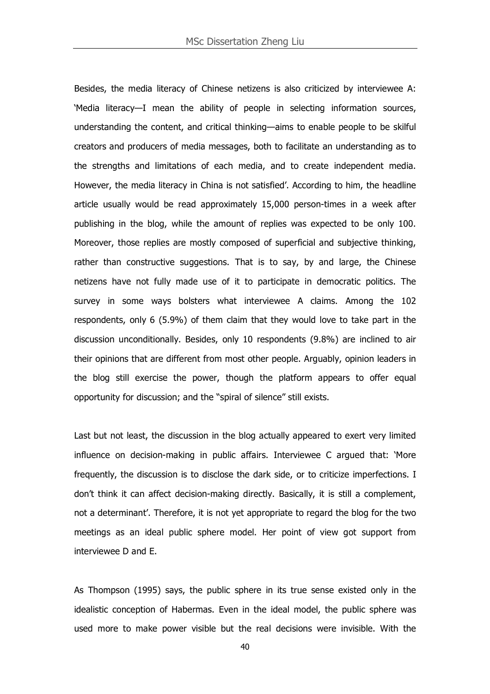Besides, the media literacy of Chinese netizens is also criticized by interviewee A: 'Media literacy—I mean the ability of people in selecting information sources, understanding the content, and critical thinking—aims to enable people to be skilful creators and producers of media messages, both to facilitate an understanding as to the strengths and limitations of each media, and to create independent media. However, the media literacy in China is not satisfied'. According to him, the headline article usually would be read approximately 15,000 person-times in a week after publishing in the blog, while the amount of replies was expected to be only 100. Moreover, those replies are mostly composed of superficial and subjective thinking, rather than constructive suggestions. That is to say, by and large, the Chinese netizens have not fully made use of it to participate in democratic politics. The survey in some ways bolsters what interviewee A claims. Among the 102 respondents, only 6 (5.9%) of them claim that they would love to take part in the discussion unconditionally. Besides, only 10 respondents (9.8%) are inclined to air their opinions that are different from most other people. Arguably, opinion leaders in the blog still exercise the power, though the platform appears to offer equal opportunity for discussion; and the "spiral of silence" still exists.

Last but not least, the discussion in the blog actually appeared to exert very limited influence on decision-making in public affairs. Interviewee C argued that: 'More frequently, the discussion is to disclose the dark side, or to criticize imperfections. I don't think it can affect decision-making directly. Basically, it is still a complement, not a determinant'. Therefore, it is not yet appropriate to regard the blog for the two meetings as an ideal public sphere model. Her point of view got support from interviewee D and E.

As Thompson (1995) says, the public sphere in its true sense existed only in the idealistic conception of Habermas. Even in the ideal model, the public sphere was used more to make power visible but the real decisions were invisible. With the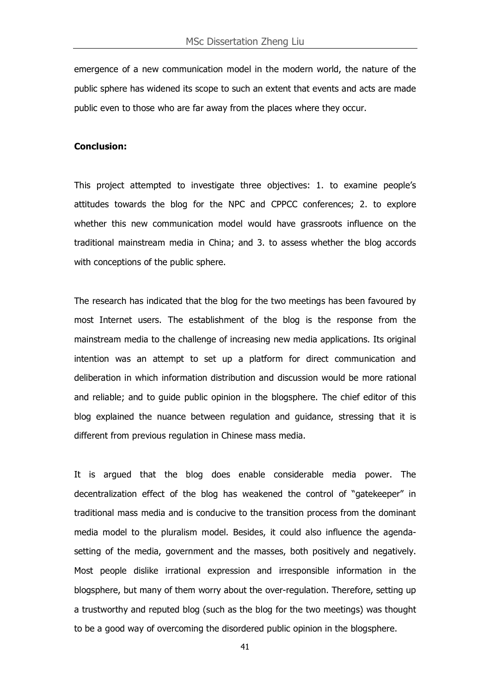emergence of a new communication model in the modern world, the nature of the public sphere has widened its scope to such an extent that events and acts are made public even to those who are far away from the places where they occur.

#### **Conclusion:**

This project attempted to investigate three objectives: 1. to examine people's attitudes towards the blog for the NPC and CPPCC conferences; 2. to explore whether this new communication model would have grassroots influence on the traditional mainstream media in China; and 3. to assess whether the blog accords with conceptions of the public sphere.

The research has indicated that the blog for the two meetings has been favoured by most Internet users. The establishment of the blog is the response from the mainstream media to the challenge of increasing new media applications. Its original intention was an attempt to set up a platform for direct communication and deliberation in which information distribution and discussion would be more rational and reliable; and to guide public opinion in the blogsphere. The chief editor of this blog explained the nuance between regulation and guidance, stressing that it is different from previous regulation in Chinese mass media.

It is argued that the blog does enable considerable media power. The decentralization effect of the blog has weakened the control of "gatekeeper" in traditional mass media and is conducive to the transition process from the dominant media model to the pluralism model. Besides, it could also influence the agendasetting of the media, government and the masses, both positively and negatively. Most people dislike irrational expression and irresponsible information in the blogsphere, but many of them worry about the over-regulation. Therefore, setting up a trustworthy and reputed blog (such as the blog for the two meetings) was thought to be a good way of overcoming the disordered public opinion in the blogsphere.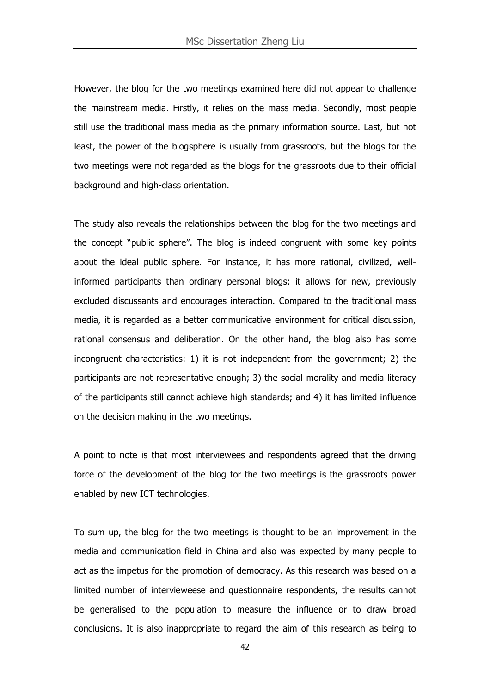However, the blog for the two meetings examined here did not appear to challenge the mainstream media. Firstly, it relies on the mass media. Secondly, most people still use the traditional mass media as the primary information source. Last, but not least, the power of the blogsphere is usually from grassroots, but the blogs for the two meetings were not regarded as the blogs for the grassroots due to their official background and high-class orientation.

The study also reveals the relationships between the blog for the two meetings and the concept "public sphere". The blog is indeed congruent with some key points about the ideal public sphere. For instance, it has more rational, civilized, wellinformed participants than ordinary personal blogs; it allows for new, previously excluded discussants and encourages interaction. Compared to the traditional mass media, it is regarded as a better communicative environment for critical discussion, rational consensus and deliberation. On the other hand, the blog also has some incongruent characteristics: 1) it is not independent from the government; 2) the participants are not representative enough; 3) the social morality and media literacy of the participants still cannot achieve high standards; and 4) it has limited influence on the decision making in the two meetings.

A point to note is that most interviewees and respondents agreed that the driving force of the development of the blog for the two meetings is the grassroots power enabled by new ICT technologies.

To sum up, the blog for the two meetings is thought to be an improvement in the media and communication field in China and also was expected by many people to act as the impetus for the promotion of democracy. As this research was based on a limited number of intervieweese and questionnaire respondents, the results cannot be generalised to the population to measure the influence or to draw broad conclusions. It is also inappropriate to regard the aim of this research as being to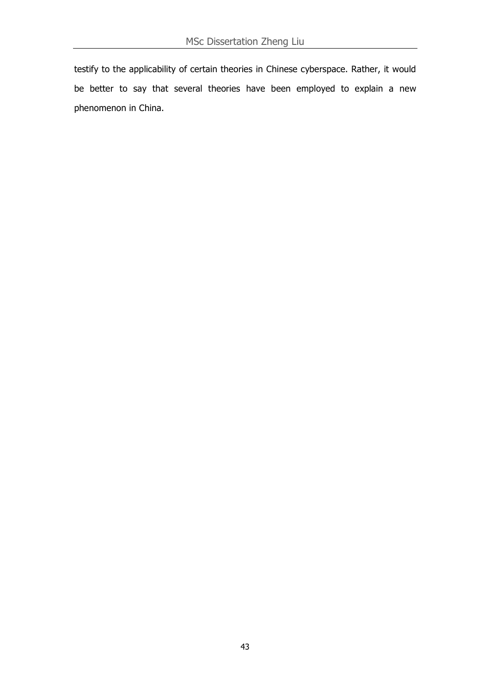testify to the applicability of certain theories in Chinese cyberspace. Rather, it would be better to say that several theories have been employed to explain a new phenomenon in China.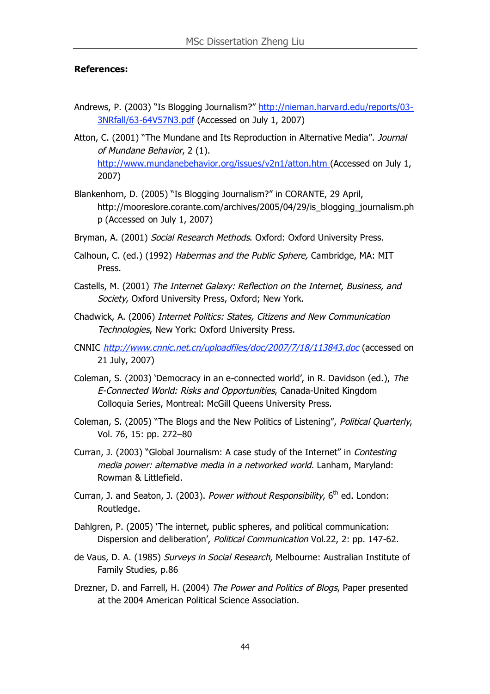#### **References:**

- Andrews, P. (2003) "Is Blogging Journalism?" http://nieman.harvard.edu/reports/03- 3NRfall/63-64V57N3.pdf (Accessed on July 1, 2007)
- Atton, C. (2001) "The Mundane and Its Reproduction in Alternative Media". Journal of Mundane Behavior, 2 (1). http://www.mundanebehavior.org/issues/v2n1/atton.htm (Accessed on July 1, 2007)
- Blankenhorn, D. (2005) "Is Blogging Journalism?" in CORANTE, 29 April, http://mooreslore.corante.com/archives/2005/04/29/is\_blogging\_journalism.ph p (Accessed on July 1, 2007)
- Bryman, A. (2001) Social Research Methods. Oxford: Oxford University Press.
- Calhoun, C. (ed.) (1992) Habermas and the Public Sphere, Cambridge, MA: MIT Press.
- Castells, M. (2001) The Internet Galaxy: Reflection on the Internet, Business, and Society, Oxford University Press, Oxford; New York.
- Chadwick, A. (2006) Internet Politics: States, Citizens and New Communication Technologies, New York: Oxford University Press.
- CNNIC http://www.cnnic.net.cn/uploadfiles/doc/2007/7/18/113843.doc (accessed on 21 July, 2007)
- Coleman, S. (2003) 'Democracy in an e-connected world', in R. Davidson (ed.), The E-Connected World: Risks and Opportunities, Canada-United Kingdom Colloquia Series, Montreal: McGill Queens University Press.
- Coleman, S. (2005) "The Blogs and the New Politics of Listening", Political Quarterly, Vol. 76, 15: pp. 272–80
- Curran, J. (2003) "Global Journalism: A case study of the Internet" in Contesting media power: alternative media in <sup>a</sup> networked world. Lanham, Maryland: Rowman & Littlefield.
- Curran, J. and Seaton, J. (2003). Power without Responsibility, 6<sup>th</sup> ed. London: Routledge.
- Dahlgren, P. (2005) 'The internet, public spheres, and political communication: Dispersion and deliberation', Political Communication Vol.22, 2: pp. 147-62.
- de Vaus, D. A. (1985) Surveys in Social Research, Melbourne: Australian Institute of Family Studies, p.86
- Drezner, D. and Farrell, H. (2004) The Power and Politics of Blogs, Paper presented at the 2004 American Political Science Association.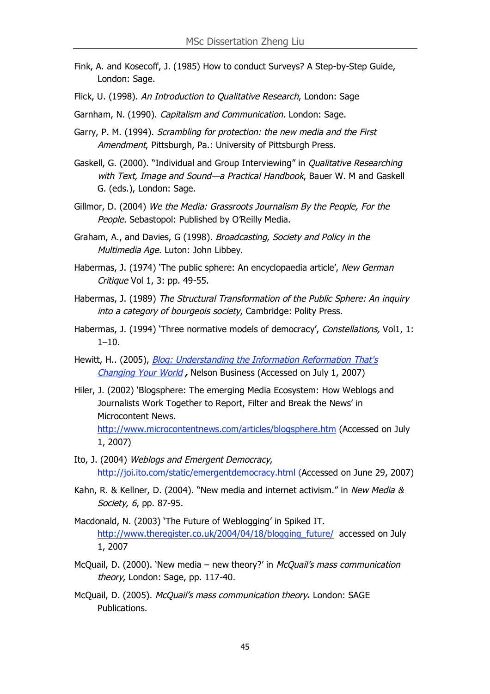- Fink, A. and Kosecoff, J. (1985) How to conduct Surveys? A Step-by-Step Guide, London: Sage.
- Flick, U. (1998). An Introduction to Qualitative Research, London: Sage
- Garnham, N. (1990). Capitalism and Communication. London: Sage.
- Garry, P. M. (1994). Scrambling for protection: the new media and the First Amendment, Pittsburgh, Pa.: University of Pittsburgh Press.
- Gaskell, G. (2000). "Individual and Group Interviewing" in *Qualitative Researching* with Text, Image and Sound—a Practical Handbook, Bauer W. M and Gaskell G. (eds.), London: Sage.
- Gillmor, D. (2004) We the Media: Grassroots Journalism By the People, For the People. Sebastopol: Published by O'Reilly Media.
- Graham, A., and Davies, G (1998). Broadcasting, Society and Policy in the Multimedia Age. Luton: John Libbey.
- Habermas, J. (1974) 'The public sphere: An encyclopaedia article', New German Critique Vol 1, 3: pp. 49-55.
- Habermas, J. (1989) The Structural Transformation of the Public Sphere: An inquiry into a category of bourgeois society, Cambridge: Polity Press.
- Habermas, J. (1994) 'Three normative models of democracy', Constellations, Vol1, 1:  $1 - 10$ .
- Hewitt, H. (2005), *Blog: Understanding the Information Reformation That's* Changing Your World **,** Nelson Business (Accessed on July 1, 2007)
- Hiler, J. (2002) 'Blogsphere: The emerging Media Ecosystem: How Weblogs and Journalists Work Together to Report, Filter and Break the News' in Microcontent News. http://www.microcontentnews.com/articles/blogsphere.htm (Accessed on July 1, 2007)
- Ito, J. (2004) Weblogs and Emergent Democracy, http://joi.ito.com/static/emergentdemocracy.html (Accessed on June 29, 2007)
- Kahn, R. & Kellner, D. (2004). "New media and internet activism." in New Media & Society, 6, pp. 87-95.
- Macdonald, N. (2003) 'The Future of Weblogging' in Spiked IT. http://www.theregister.co.uk/2004/04/18/blogging\_future/ accessed on July 1, 2007
- McQuail, D. (2000). 'New media new theory?' in McQuail's mass communication theory, London: Sage, pp. 117-40.
- McQuail, D. (2005). McQuail's mass communication theory**.** London: SAGE Publications.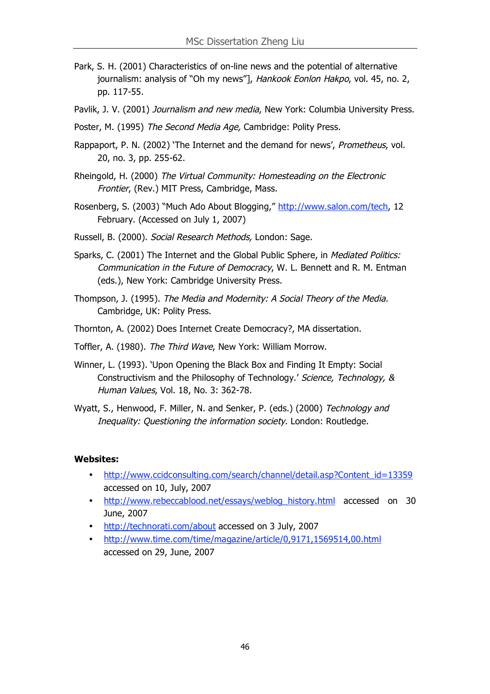- Park, S. H. (2001) Characteristics of on-line news and the potential of alternative journalism: analysis of "Oh my news"], Hankook Eonlon Hakpo, vol. 45, no. 2, pp. 117-55.
- Pavlik, J. V. (2001) Journalism and new media, New York: Columbia University Press.
- Poster, M. (1995) The Second Media Age, Cambridge: Polity Press.
- Rappaport, P. N. (2002) 'The Internet and the demand for news', *Prometheus*, vol. 20, no. 3, pp. 255-62.
- Rheingold, H. (2000) The Virtual Community: Homesteading on the Electronic Frontier, (Rev.) MIT Press, Cambridge, Mass.
- Rosenberg, S. (2003) "Much Ado About Blogging," http://www.salon.com/tech, 12 February. (Accessed on July 1, 2007)
- Russell, B. (2000). Social Research Methods, London: Sage.
- Sparks, C. (2001) The Internet and the Global Public Sphere, in *Mediated Politics:* Communication in the Future of Democracy, W. L. Bennett and R. M. Entman (eds.), New York: Cambridge University Press.
- Thompson, J. (1995). The Media and Modernity: A Social Theory of the Media. Cambridge, UK: Polity Press.
- Thornton, A. (2002) Does Internet Create Democracy?, MA dissertation.
- Toffler, A. (1980). The Third Wave, New York: William Morrow.
- Winner, L. (1993). 'Upon Opening the Black Box and Finding It Empty: Social Constructivism and the Philosophy of Technology.' Science, Technology, & Human Values, Vol. 18, No. 3: 362-78.
- Wyatt, S., Henwood, F. Miller, N. and Senker, P. (eds.) (2000) Technology and Inequality: Questioning the information society. London: Routledge.

#### **Websites:**

- http://www.ccidconsulting.com/search/channel/detail.asp?Content\_id=13359 accessed on 10, July, 2007
- http://www.rebeccablood.net/essays/weblog\_history.html accessed on 30 June, 2007
- http://technorati.com/about accessed on 3 July, 2007
- http://www.time.com/time/magazine/article/0,9171,1569514,00.html accessed on 29, June, 2007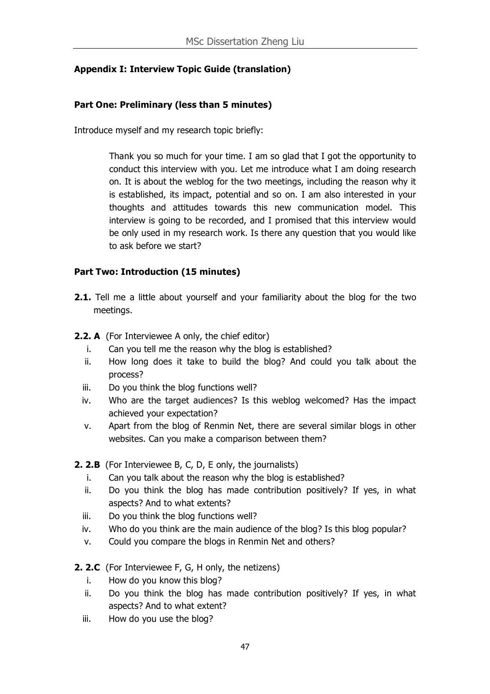## **Appendix I: Interview Topic Guide (translation)**

### **Part One: Preliminary (less than 5 minutes)**

Introduce myself and my research topic briefly:

Thank you so much for your time. I am so glad that I got the opportunity to conduct this interview with you. Let me introduce what I am doing research on. It is about the weblog for the two meetings, including the reason why it is established, its impact, potential and so on. I am also interested in your thoughts and attitudes towards this new communication model. This interview is going to be recorded, and I promised that this interview would be only used in my research work. Is there any question that you would like to ask before we start?

#### **Part Two: Introduction (15 minutes)**

- **2.1.** Tell me a little about yourself and your familiarity about the blog for the two meetings.
- **2.2. A** (For Interviewee A only, the chief editor)
	- i. Can you tell me the reason why the blog is established?
	- ii. How long does it take to build the blog? And could you talk about the process?
	- iii. Do you think the blog functions well?
	- iv. Who are the target audiences? Is this weblog welcomed? Has the impact achieved your expectation?
	- v. Apart from the blog of Renmin Net, there are several similar blogs in other websites. Can you make a comparison between them?

**2. 2.B** (For Interviewee B, C, D, E only, the journalists)

- i. Can you talk about the reason why the blog is established?
- ii. Do you think the blog has made contribution positively? If yes, in what aspects? And to what extents?
- iii. Do you think the blog functions well?
- iv. Who do you think are the main audience of the blog? Is this blog popular?
- v. Could you compare the blogs in Renmin Net and others?
- **2. 2.C** (For Interviewee F, G, H only, the netizens)
	- i. How do you know this blog?
	- ii. Do you think the blog has made contribution positively? If yes, in what aspects? And to what extent?
	- iii. How do you use the blog?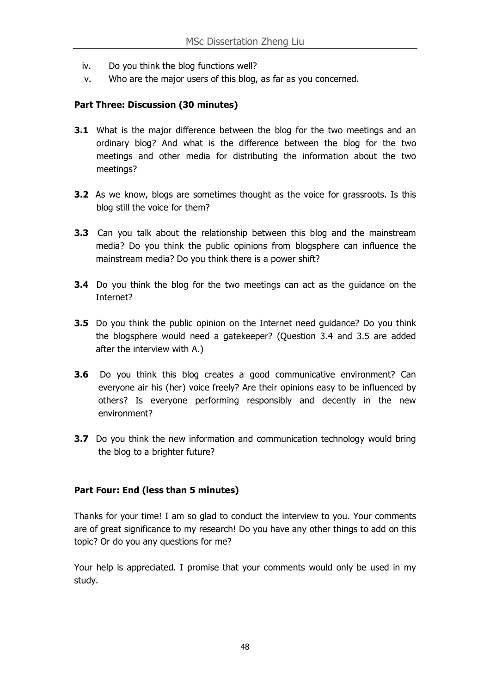- iv. Do you think the blog functions well?
- v. Who are the major users of this blog, as far as you concerned.

#### **Part Three: Discussion (30 minutes)**

- **3.1** What is the major difference between the blog for the two meetings and an ordinary blog? And what is the difference between the blog for the two meetings and other media for distributing the information about the two meetings?
- **3.2** As we know, blogs are sometimes thought as the voice for grassroots. Is this blog still the voice for them?
- **3.3** Can you talk about the relationship between this blog and the mainstream media? Do you think the public opinions from blogsphere can influence the mainstream media? Do you think there is a power shift?
- **3.4** Do you think the blog for the two meetings can act as the guidance on the Internet?
- **3.5** Do you think the public opinion on the Internet need quidance? Do you think the blogsphere would need a gatekeeper? (Question 3.4 and 3.5 are added after the interview with A.)
- **3.6** Do you think this blog creates a good communicative environment? Can everyone air his (her) voice freely? Are their opinions easy to be influenced by others? Is everyone performing responsibly and decently in the new environment?
- **3.7** Do you think the new information and communication technology would bring the blog to a brighter future?

#### **Part Four: End (less than 5 minutes)**

Thanks for your time! I am so glad to conduct the interview to you. Your comments are of great significance to my research! Do you have any other things to add on this topic? Or do you any questions for me?

Your help is appreciated. I promise that your comments would only be used in my study.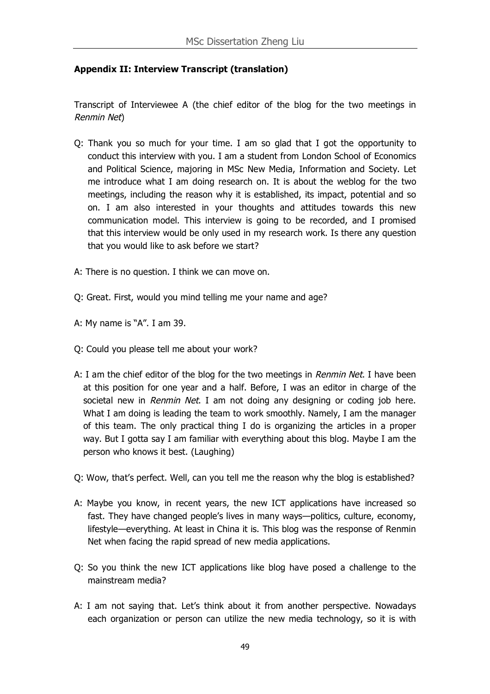## **Appendix II: Interview Transcript (translation)**

Transcript of Interviewee A (the chief editor of the blog for the two meetings in Renmin Net)

- Q: Thank you so much for your time. I am so glad that I got the opportunity to conduct this interview with you. I am a student from London School of Economics and Political Science, majoring in MSc New Media, Information and Society. Let me introduce what I am doing research on. It is about the weblog for the two meetings, including the reason why it is established, its impact, potential and so on. I am also interested in your thoughts and attitudes towards this new communication model. This interview is going to be recorded, and I promised that this interview would be only used in my research work. Is there any question that you would like to ask before we start?
- A: There is no question. I think we can move on.
- Q: Great. First, would you mind telling me your name and age?
- A: My name is "A". I am 39.
- Q: Could you please tell me about your work?
- A: I am the chief editor of the blog for the two meetings in Renmin Net. I have been at this position for one year and a half. Before, I was an editor in charge of the societal new in Renmin Net. I am not doing any designing or coding job here. What I am doing is leading the team to work smoothly. Namely, I am the manager of this team. The only practical thing I do is organizing the articles in a proper way. But I gotta say I am familiar with everything about this blog. Maybe I am the person who knows it best. (Laughing)
- Q: Wow, that's perfect. Well, can you tell me the reason why the blog is established?
- A: Maybe you know, in recent years, the new ICT applications have increased so fast. They have changed people's lives in many ways—politics, culture, economy, lifestyle—everything. At least in China it is. This blog was the response of Renmin Net when facing the rapid spread of new media applications.
- Q: So you think the new ICT applications like blog have posed a challenge to the mainstream media?
- A: I am not saying that. Let's think about it from another perspective. Nowadays each organization or person can utilize the new media technology, so it is with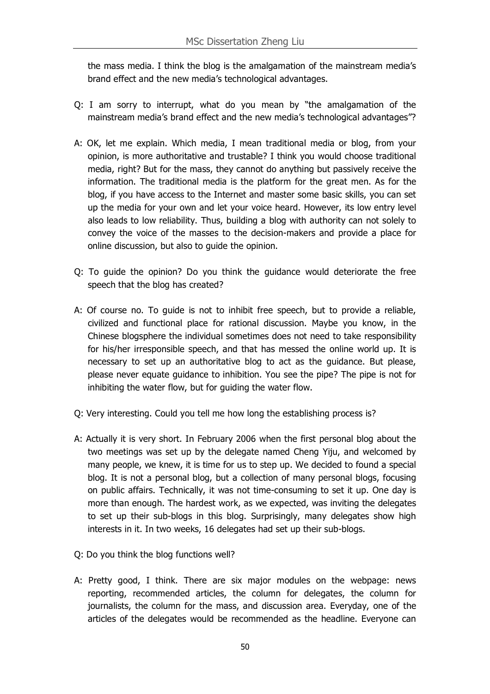the mass media. I think the blog is the amalgamation of the mainstream media's brand effect and the new media's technological advantages.

- Q: I am sorry to interrupt, what do you mean by "the amalgamation of the mainstream media's brand effect and the new media's technological advantages"?
- A: OK, let me explain. Which media, I mean traditional media or blog, from your opinion, is more authoritative and trustable? I think you would choose traditional media, right? But for the mass, they cannot do anything but passively receive the information. The traditional media is the platform for the great men. As for the blog, if you have access to the Internet and master some basic skills, you can set up the media for your own and let your voice heard. However, its low entry level also leads to low reliability. Thus, building a blog with authority can not solely to convey the voice of the masses to the decision-makers and provide a place for online discussion, but also to guide the opinion.
- Q: To guide the opinion? Do you think the guidance would deteriorate the free speech that the blog has created?
- A: Of course no. To guide is not to inhibit free speech, but to provide a reliable, civilized and functional place for rational discussion. Maybe you know, in the Chinese blogsphere the individual sometimes does not need to take responsibility for his/her irresponsible speech, and that has messed the online world up. It is necessary to set up an authoritative blog to act as the guidance. But please, please never equate guidance to inhibition. You see the pipe? The pipe is not for inhibiting the water flow, but for guiding the water flow.
- Q: Very interesting. Could you tell me how long the establishing process is?
- A: Actually it is very short. In February 2006 when the first personal blog about the two meetings was set up by the delegate named Cheng Yiju, and welcomed by many people, we knew, it is time for us to step up. We decided to found a special blog. It is not a personal blog, but a collection of many personal blogs, focusing on public affairs. Technically, it was not time-consuming to set it up. One day is more than enough. The hardest work, as we expected, was inviting the delegates to set up their sub-blogs in this blog. Surprisingly, many delegates show high interests in it. In two weeks, 16 delegates had set up their sub-blogs.
- Q: Do you think the blog functions well?
- A: Pretty good, I think. There are six major modules on the webpage: news reporting, recommended articles, the column for delegates, the column for journalists, the column for the mass, and discussion area. Everyday, one of the articles of the delegates would be recommended as the headline. Everyone can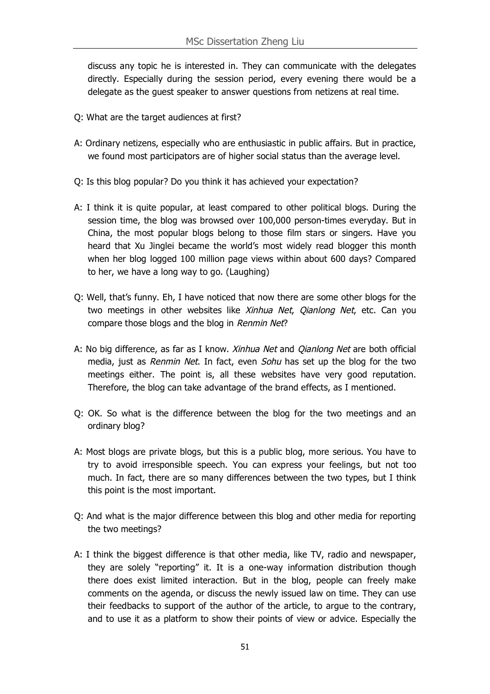discuss any topic he is interested in. They can communicate with the delegates directly. Especially during the session period, every evening there would be a delegate as the guest speaker to answer questions from netizens at real time.

- Q: What are the target audiences at first?
- A: Ordinary netizens, especially who are enthusiastic in public affairs. But in practice, we found most participators are of higher social status than the average level.
- Q: Is this blog popular? Do you think it has achieved your expectation?
- A: I think it is quite popular, at least compared to other political blogs. During the session time, the blog was browsed over 100,000 person-times everyday. But in China, the most popular blogs belong to those film stars or singers. Have you heard that Xu Jinglei became the world's most widely read blogger this month when her blog logged 100 million page views within about 600 days? Compared to her, we have a long way to go. (Laughing)
- Q: Well, that's funny. Eh, I have noticed that now there are some other blogs for the two meetings in other websites like Xinhua Net, Qianlong Net, etc. Can you compare those blogs and the blog in Renmin Net?
- A: No big difference, as far as I know. *Xinhua Net* and *Oianlong Net* are both official media, just as Renmin Net. In fact, even Sohu has set up the blog for the two meetings either. The point is, all these websites have very good reputation. Therefore, the blog can take advantage of the brand effects, as I mentioned.
- Q: OK. So what is the difference between the blog for the two meetings and an ordinary blog?
- A: Most blogs are private blogs, but this is a public blog, more serious. You have to try to avoid irresponsible speech. You can express your feelings, but not too much. In fact, there are so many differences between the two types, but I think this point is the most important.
- Q: And what is the major difference between this blog and other media for reporting the two meetings?
- A: I think the biggest difference is that other media, like TV, radio and newspaper, they are solely "reporting" it. It is a one-way information distribution though there does exist limited interaction. But in the blog, people can freely make comments on the agenda, or discuss the newly issued law on time. They can use their feedbacks to support of the author of the article, to argue to the contrary, and to use it as a platform to show their points of view or advice. Especially the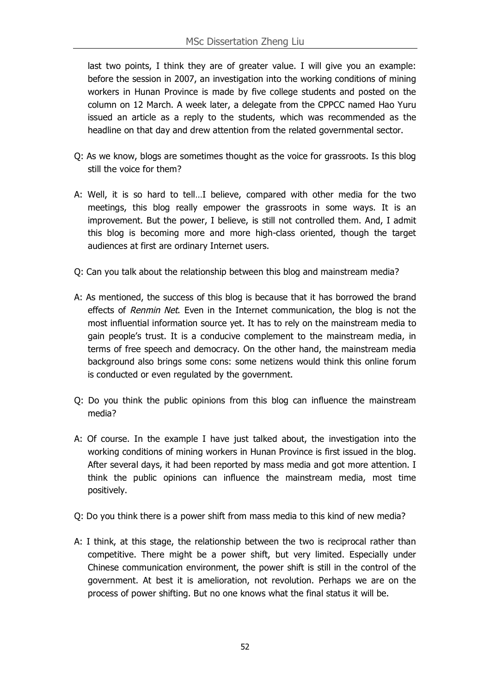last two points, I think they are of greater value. I will give you an example: before the session in 2007, an investigation into the working conditions of mining workers in Hunan Province is made by five college students and posted on the column on 12 March. A week later, a delegate from the CPPCC named Hao Yuru issued an article as a reply to the students, which was recommended as the headline on that day and drew attention from the related governmental sector.

- Q: As we know, blogs are sometimes thought as the voice for grassroots. Is this blog still the voice for them?
- A: Well, it is so hard to tell…I believe, compared with other media for the two meetings, this blog really empower the grassroots in some ways. It is an improvement. But the power, I believe, is still not controlled them. And, I admit this blog is becoming more and more high-class oriented, though the target audiences at first are ordinary Internet users.
- Q: Can you talk about the relationship between this blog and mainstream media?
- A: As mentioned, the success of this blog is because that it has borrowed the brand effects of Renmin Net. Even in the Internet communication, the blog is not the most influential information source yet. It has to rely on the mainstream media to gain people's trust. It is a conducive complement to the mainstream media, in terms of free speech and democracy. On the other hand, the mainstream media background also brings some cons: some netizens would think this online forum is conducted or even regulated by the government.
- Q: Do you think the public opinions from this blog can influence the mainstream media?
- A: Of course. In the example I have just talked about, the investigation into the working conditions of mining workers in Hunan Province is first issued in the blog. After several days, it had been reported by mass media and got more attention. I think the public opinions can influence the mainstream media, most time positively.
- Q: Do you think there is a power shift from mass media to this kind of new media?
- A: I think, at this stage, the relationship between the two is reciprocal rather than competitive. There might be a power shift, but very limited. Especially under Chinese communication environment, the power shift is still in the control of the government. At best it is amelioration, not revolution. Perhaps we are on the process of power shifting. But no one knows what the final status it will be.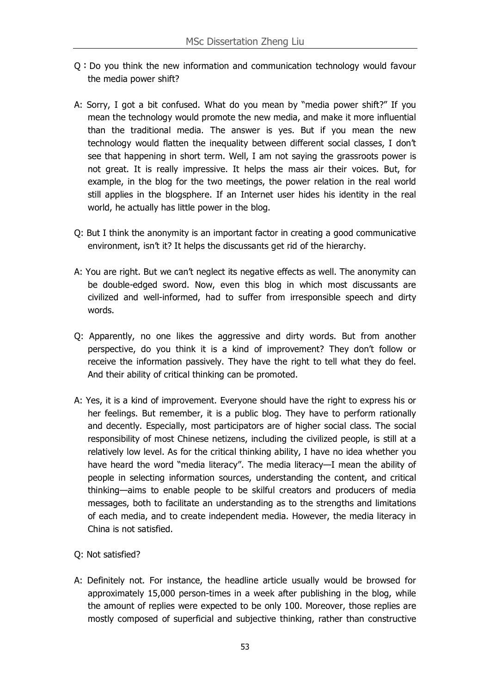- Q:Do you think the new information and communication technology would favour the media power shift?
- A: Sorry, I got a bit confused. What do you mean by "media power shift?" If you mean the technology would promote the new media, and make it more influential than the traditional media. The answer is yes. But if you mean the new technology would flatten the inequality between different social classes, I don't see that happening in short term. Well, I am not saying the grassroots power is not great. It is really impressive. It helps the mass air their voices. But, for example, in the blog for the two meetings, the power relation in the real world still applies in the blogsphere. If an Internet user hides his identity in the real world, he actually has little power in the blog.
- Q: But I think the anonymity is an important factor in creating a good communicative environment, isn't it? It helps the discussants get rid of the hierarchy.
- A: You are right. But we can't neglect its negative effects as well. The anonymity can be double-edged sword. Now, even this blog in which most discussants are civilized and well-informed, had to suffer from irresponsible speech and dirty words.
- Q: Apparently, no one likes the aggressive and dirty words. But from another perspective, do you think it is a kind of improvement? They don't follow or receive the information passively. They have the right to tell what they do feel. And their ability of critical thinking can be promoted.
- A: Yes, it is a kind of improvement. Everyone should have the right to express his or her feelings. But remember, it is a public blog. They have to perform rationally and decently. Especially, most participators are of higher social class. The social responsibility of most Chinese netizens, including the civilized people, is still at a relatively low level. As for the critical thinking ability, I have no idea whether you have heard the word "media literacy". The media literacy—I mean the ability of people in selecting information sources, understanding the content, and critical thinking—aims to enable people to be skilful creators and producers of media messages, both to facilitate an understanding as to the strengths and limitations of each media, and to create independent media. However, the media literacy in China is not satisfied.
- Q: Not satisfied?
- A: Definitely not. For instance, the headline article usually would be browsed for approximately 15,000 person-times in a week after publishing in the blog, while the amount of replies were expected to be only 100. Moreover, those replies are mostly composed of superficial and subjective thinking, rather than constructive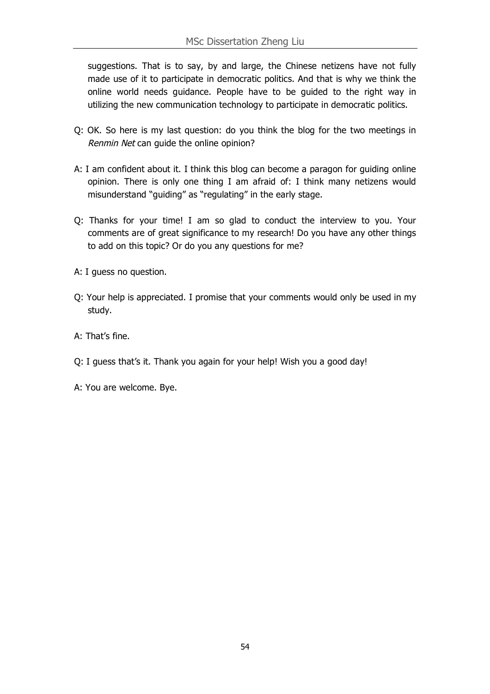suggestions. That is to say, by and large, the Chinese netizens have not fully made use of it to participate in democratic politics. And that is why we think the online world needs guidance. People have to be guided to the right way in utilizing the new communication technology to participate in democratic politics.

- Q: OK. So here is my last question: do you think the blog for the two meetings in Renmin Net can guide the online opinion?
- A: I am confident about it. I think this blog can become a paragon for guiding online opinion. There is only one thing I am afraid of: I think many netizens would misunderstand "guiding" as "regulating" in the early stage.
- Q: Thanks for your time! I am so glad to conduct the interview to you. Your comments are of great significance to my research! Do you have any other things to add on this topic? Or do you any questions for me?
- A: I guess no question.
- Q: Your help is appreciated. I promise that your comments would only be used in my study.
- A: That's fine.
- Q: I guess that's it. Thank you again for your help! Wish you a good day!
- A: You are welcome. Bye.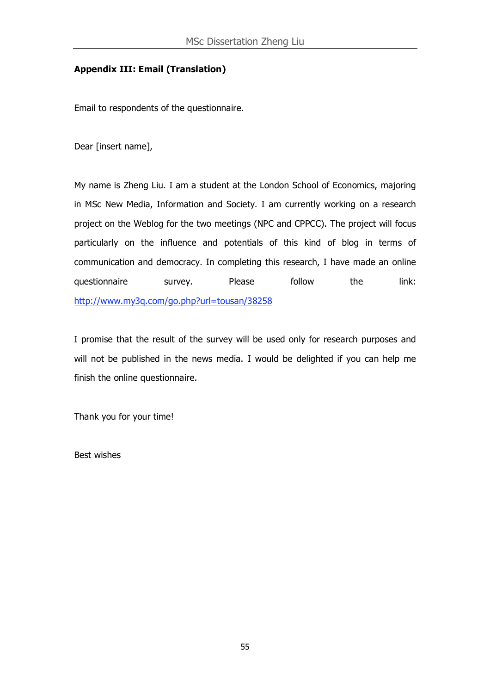#### **Appendix III: Email (Translation)**

Email to respondents of the questionnaire.

Dear [insert name],

My name is Zheng Liu. I am a student at the London School of Economics, majoring in MSc New Media, Information and Society. I am currently working on a research project on the Weblog for the two meetings (NPC and CPPCC). The project will focus particularly on the influence and potentials of this kind of blog in terms of communication and democracy. In completing this research, I have made an online questionnaire survey. Please follow the link: http://www.my3q.com/go.php?url=tousan/38258

I promise that the result of the survey will be used only for research purposes and will not be published in the news media. I would be delighted if you can help me finish the online questionnaire.

Thank you for your time!

Best wishes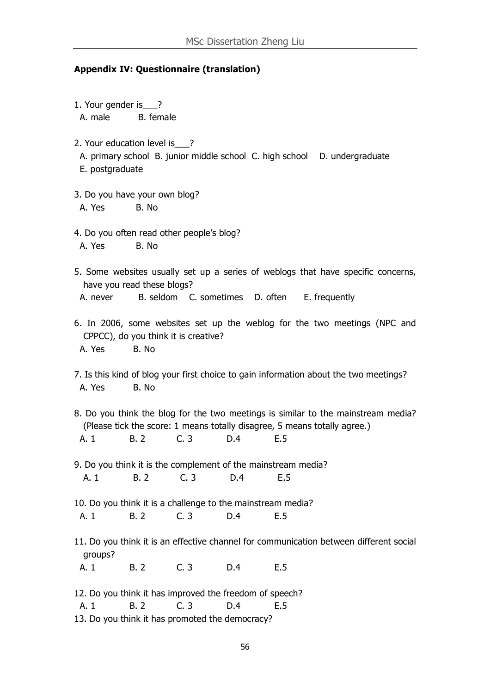#### **Appendix IV: Questionnaire (translation)**

- 1. Your gender is ? A. male B. female
- 2. Your education level is ?
	- A. primary school B. junior middle school C. high school D. undergraduate E. postgraduate
- 3. Do you have your own blog? A. Yes B. No.
- 4. Do you often read other people's blog? A. Yes B. No.
- 5. Some websites usually set up a series of weblogs that have specific concerns, have you read these blogs? A. never B. seldom C. sometimes D. often E. frequently
- 6. In 2006, some websites set up the weblog for the two meetings (NPC and CPPCC), do you think it is creative? A. Yes B. No
- 7. Is this kind of blog your first choice to gain information about the two meetings? A. Yes B. No.
- 8. Do you think the blog for the two meetings is similar to the mainstream media? (Please tick the score: 1 means totally disagree, 5 means totally agree.) A. 1 B. 2 C. 3 D.4 E.5
- 9. Do you think it is the complement of the mainstream media? A. 1 B. 2 C. 3 D. 4 E. 5
- 10. Do you think it is a challenge to the mainstream media? A. 1 B. 2 C. 3 D. 4 E. 5
- 11. Do you think it is an effective channel for communication between different social groups?

A. 1 B. 2 C. 3 D. 4 E. 5

- 12. Do you think it has improved the freedom of speech?
	- A. 1 B. 2 C. 3 D.4 E.5
- 13. Do you think it has promoted the democracy?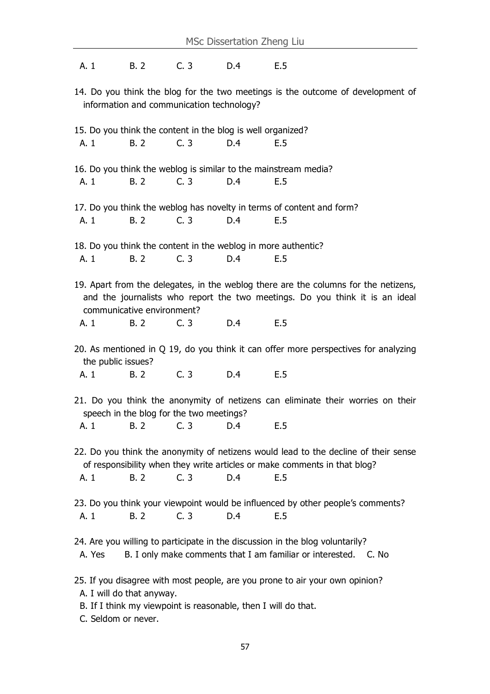A. 1 B. 2 C. 3 D. 4 E. 5

14. Do you think the blog for the two meetings is the outcome of development of information and communication technology?

- 15. Do you think the content in the blog is well organized? A. 1 B. 2 C. 3 D. 4 E. 5
- 16. Do you think the weblog is similar to the mainstream media? A. 1 B. 2 C. 3 D. 4 E. 5
- 17. Do you think the weblog has novelty in terms of content and form? A. 1 B. 2 C. 3 D. 4 E. 5
- 18. Do you think the content in the weblog in more authentic? A. 1 B. 2 C. 3 D. 4 E. 5
- 19. Apart from the delegates, in the weblog there are the columns for the netizens, and the journalists who report the two meetings. Do you think it is an ideal communicative environment?
	- A. 1 B. 2 C. 3 D. 4 E. 5
- 20. As mentioned in Q 19, do you think it can offer more perspectives for analyzing the public issues?

A. 1 B. 2 C. 3 D.4 E.5

21. Do you think the anonymity of netizens can eliminate their worries on their speech in the blog for the two meetings?

A. 1 B. 2 C. 3 D. 4 E. 5

- 22. Do you think the anonymity of netizens would lead to the decline of their sense of responsibility when they write articles or make comments in that blog? A. 1 B. 2 C. 3 D. 4 E. 5
- 23. Do you think your viewpoint would be influenced by other people's comments? A. 1 B. 2 C. 3 D. 4 E. 5

24. Are you willing to participate in the discussion in the blog voluntarily?

A. Yes B. I only make comments that I am familiar or interested. C. No

25. If you disagree with most people, are you prone to air your own opinion?

- A. I will do that anyway.
- B. If I think my viewpoint is reasonable, then I will do that.
- C. Seldom or never.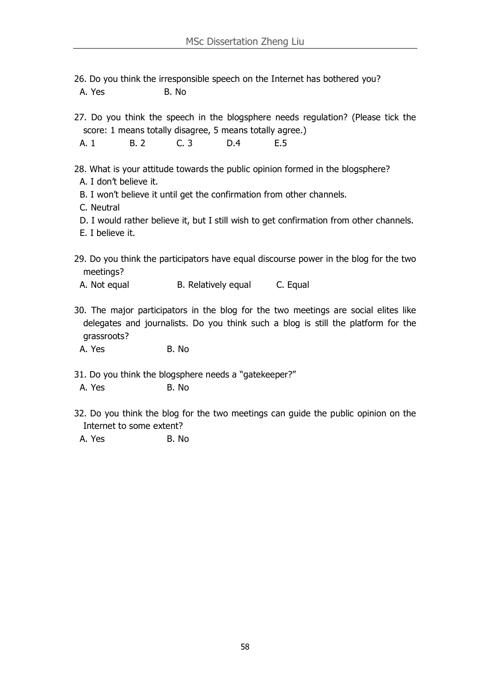26. Do you think the irresponsible speech on the Internet has bothered you? A. Yes B. No.

27. Do you think the speech in the blogsphere needs regulation? (Please tick the score: 1 means totally disagree, 5 means totally agree.)

A. 1 B. 2 C. 3 D. 4 E. 5

28. What is your attitude towards the public opinion formed in the blogsphere?

- A. I don't believe it.
- B. I won't believe it until get the confirmation from other channels.

C. Neutral

- D. I would rather believe it, but I still wish to get confirmation from other channels.
- E. I believe it.
- 29. Do you think the participators have equal discourse power in the blog for the two meetings?

A. Not equal B. Relatively equal C. Equal

30. The major participators in the blog for the two meetings are social elites like delegates and journalists. Do you think such a blog is still the platform for the grassroots?

A. Yes B. No.

- 31. Do you think the blogsphere needs a "gatekeeper?"
- A. Yes B. No.
- 32. Do you think the blog for the two meetings can guide the public opinion on the Internet to some extent?

A. Yes B. No.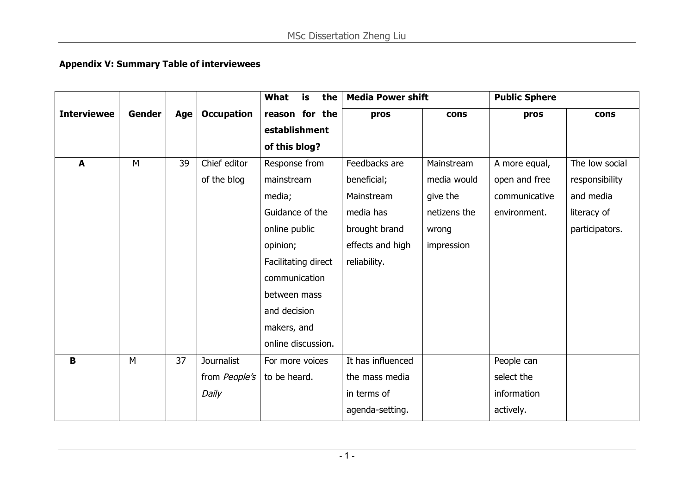# **Appendix V: Summary Table of interviewees**

|                    |               |     |                   | What<br>is<br>the   |                   | <b>Media Power shift</b> |               | <b>Public Sphere</b> |  |
|--------------------|---------------|-----|-------------------|---------------------|-------------------|--------------------------|---------------|----------------------|--|
| <b>Interviewee</b> | <b>Gender</b> | Age | <b>Occupation</b> | reason for the      | pros              | cons                     | pros          | cons                 |  |
|                    |               |     |                   | establishment       |                   |                          |               |                      |  |
|                    |               |     |                   | of this blog?       |                   |                          |               |                      |  |
| $\blacktriangle$   | M             | 39  | Chief editor      | Response from       | Feedbacks are     | Mainstream               | A more equal, | The low social       |  |
|                    |               |     | of the blog       | mainstream          | beneficial;       | media would              | open and free | responsibility       |  |
|                    |               |     |                   | media;              | Mainstream        | give the                 | communicative | and media            |  |
|                    |               |     |                   | Guidance of the     | media has         | netizens the             | environment.  | literacy of          |  |
|                    |               |     |                   | online public       | brought brand     | wrong                    |               | participators.       |  |
|                    |               |     |                   | opinion;            | effects and high  | impression               |               |                      |  |
|                    |               |     |                   | Facilitating direct | reliability.      |                          |               |                      |  |
|                    |               |     |                   | communication       |                   |                          |               |                      |  |
|                    |               |     |                   | between mass        |                   |                          |               |                      |  |
|                    |               |     |                   | and decision        |                   |                          |               |                      |  |
|                    |               |     |                   | makers, and         |                   |                          |               |                      |  |
|                    |               |     |                   | online discussion.  |                   |                          |               |                      |  |
| $\mathbf B$        | M             | 37  | Journalist        | For more voices     | It has influenced |                          | People can    |                      |  |
|                    |               |     | from People's     | to be heard.        | the mass media    |                          | select the    |                      |  |
|                    |               |     | Daily             |                     | in terms of       |                          | information   |                      |  |
|                    |               |     |                   |                     | agenda-setting.   |                          | actively.     |                      |  |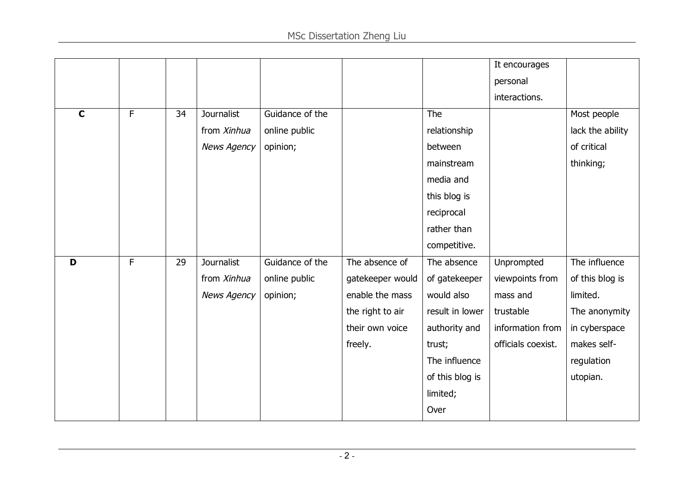|             |   |    |                    |                 |                  |                 | It encourages      |                  |
|-------------|---|----|--------------------|-----------------|------------------|-----------------|--------------------|------------------|
|             |   |    |                    |                 |                  |                 | personal           |                  |
|             |   |    |                    |                 |                  |                 | interactions.      |                  |
| $\mathbf C$ | F | 34 | Journalist         | Guidance of the |                  | The             |                    | Most people      |
|             |   |    | from Xinhua        | online public   |                  | relationship    |                    | lack the ability |
|             |   |    | <b>News Agency</b> | opinion;        |                  | between         |                    | of critical      |
|             |   |    |                    |                 |                  | mainstream      |                    | thinking;        |
|             |   |    |                    |                 |                  | media and       |                    |                  |
|             |   |    |                    |                 |                  | this blog is    |                    |                  |
|             |   |    |                    |                 |                  | reciprocal      |                    |                  |
|             |   |    |                    |                 |                  | rather than     |                    |                  |
|             |   |    |                    |                 |                  | competitive.    |                    |                  |
| D           | F | 29 | Journalist         | Guidance of the | The absence of   | The absence     | Unprompted         | The influence    |
|             |   |    | from Xinhua        | online public   | gatekeeper would | of gatekeeper   | viewpoints from    | of this blog is  |
|             |   |    | <b>News Agency</b> | opinion;        | enable the mass  | would also      | mass and           | limited.         |
|             |   |    |                    |                 | the right to air | result in lower | trustable          | The anonymity    |
|             |   |    |                    |                 | their own voice  | authority and   | information from   | in cyberspace    |
|             |   |    |                    |                 | freely.          | trust;          | officials coexist. | makes self-      |
|             |   |    |                    |                 |                  | The influence   |                    | regulation       |
|             |   |    |                    |                 |                  | of this blog is |                    | utopian.         |
|             |   |    |                    |                 |                  | limited;        |                    |                  |
|             |   |    |                    |                 |                  | Over            |                    |                  |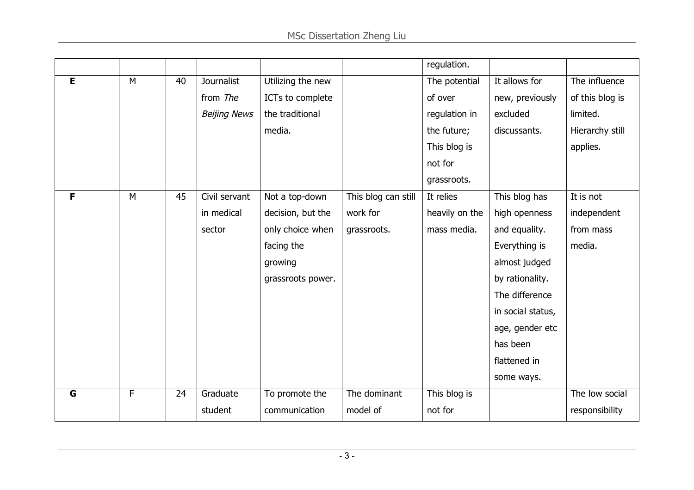|   |   |    |                     |                   |                     | regulation.    |                   |                 |
|---|---|----|---------------------|-------------------|---------------------|----------------|-------------------|-----------------|
| E | M | 40 | <b>Journalist</b>   | Utilizing the new |                     | The potential  | It allows for     | The influence   |
|   |   |    | from The            | ICTs to complete  |                     | of over        | new, previously   | of this blog is |
|   |   |    | <b>Beijing News</b> | the traditional   |                     | regulation in  | excluded          | limited.        |
|   |   |    |                     | media.            |                     | the future;    | discussants.      | Hierarchy still |
|   |   |    |                     |                   |                     | This blog is   |                   | applies.        |
|   |   |    |                     |                   |                     | not for        |                   |                 |
|   |   |    |                     |                   |                     | grassroots.    |                   |                 |
| F | M | 45 | Civil servant       | Not a top-down    | This blog can still | It relies      | This blog has     | It is not       |
|   |   |    | in medical          | decision, but the | work for            | heavily on the | high openness     | independent     |
|   |   |    | sector              | only choice when  | grassroots.         | mass media.    | and equality.     | from mass       |
|   |   |    |                     | facing the        |                     |                | Everything is     | media.          |
|   |   |    |                     | growing           |                     |                | almost judged     |                 |
|   |   |    |                     | grassroots power. |                     |                | by rationality.   |                 |
|   |   |    |                     |                   |                     |                | The difference    |                 |
|   |   |    |                     |                   |                     |                | in social status, |                 |
|   |   |    |                     |                   |                     |                | age, gender etc   |                 |
|   |   |    |                     |                   |                     |                | has been          |                 |
|   |   |    |                     |                   |                     |                | flattened in      |                 |
|   |   |    |                     |                   |                     |                | some ways.        |                 |
| G | F | 24 | Graduate            | To promote the    | The dominant        | This blog is   |                   | The low social  |
|   |   |    | student             | communication     | model of            | not for        |                   | responsibility  |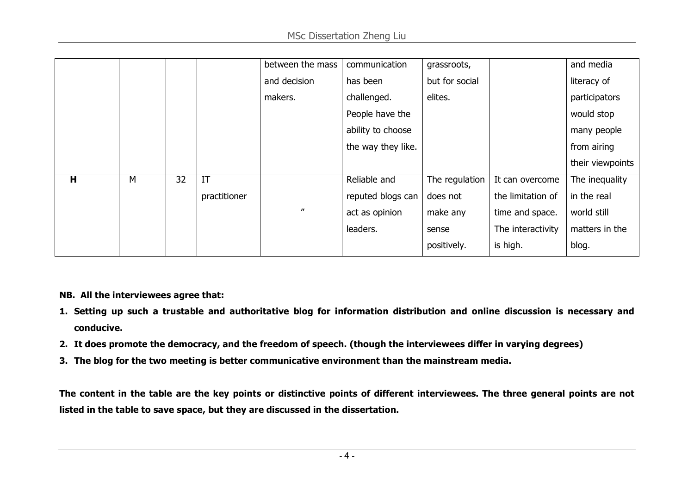|   |   |    |              | between the mass  | communication      | grassroots,    |                   | and media        |
|---|---|----|--------------|-------------------|--------------------|----------------|-------------------|------------------|
|   |   |    |              | and decision      | has been           | but for social |                   | literacy of      |
|   |   |    |              | makers.           | challenged.        | elites.        |                   | participators    |
|   |   |    |              |                   | People have the    |                |                   | would stop       |
|   |   |    |              |                   | ability to choose  |                |                   | many people      |
|   |   |    |              |                   | the way they like. |                |                   | from airing      |
|   |   |    |              |                   |                    |                |                   | their viewpoints |
| H | M | 32 | IT           |                   | Reliable and       | The regulation | It can overcome   | The inequality   |
|   |   |    | practitioner |                   | reputed blogs can  | does not       | the limitation of | in the real      |
|   |   |    |              | $^{\prime\prime}$ | act as opinion     | make any       | time and space.   | world still      |
|   |   |    |              |                   | leaders.           | sense          | The interactivity | matters in the   |
|   |   |    |              |                   |                    | positively.    | is high.          | blog.            |

**NB. All the interviewees agree that:**

- 1. Setting up such a trustable and authoritative blog for information distribution and online discussion is necessary and **conducive.**
- 2. It does promote the democracy, and the freedom of speech. (though the interviewees differ in varying degrees)
- **3. The blog for the two meeting is better communicative environment than the mainstream media.**

The content in the table are the key points or distinctive points of different interviewees. The three general points are not **listed in the table to save space, but they are discussed in the dissertation.**